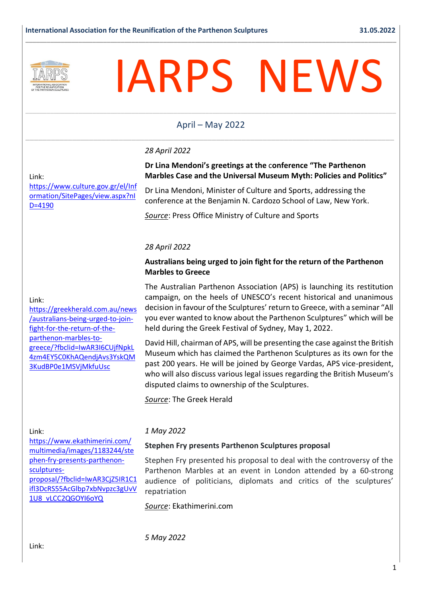

# IARPS NEWS

# \_\_\_\_\_\_\_\_\_\_\_\_\_\_\_\_\_\_\_\_\_\_\_\_\_\_\_\_\_\_\_\_\_\_\_\_\_\_\_\_\_\_\_\_\_\_\_\_\_\_\_\_\_\_\_\_\_\_\_\_\_\_\_\_\_\_\_\_\_\_\_\_\_\_\_\_\_\_\_\_\_\_\_\_\_\_\_\_\_\_\_\_\_\_\_\_\_\_\_\_\_\_\_\_\_ April – May 2022 \_\_\_\_\_\_\_\_\_\_\_\_\_\_\_\_\_\_\_\_\_\_\_\_\_\_\_\_\_\_\_\_\_\_\_\_\_\_\_\_\_\_\_\_\_\_\_\_\_\_\_\_\_\_\_\_\_\_\_\_\_\_\_\_\_\_\_\_\_\_\_\_\_\_\_\_\_\_\_\_\_\_\_\_\_\_\_

**\_\_\_\_\_\_\_\_\_\_\_\_\_\_\_\_\_\_\_\_\_\_\_\_\_\_\_\_\_\_\_\_\_\_\_\_\_\_\_\_\_\_\_\_\_\_\_\_\_\_\_\_\_\_\_\_\_\_\_\_\_\_\_\_\_\_\_\_\_\_\_\_\_\_\_\_\_\_\_\_\_\_\_\_\_\_\_\_\_\_\_\_\_\_\_\_\_\_\_\_\_\_\_\_\_**

#### *28 April 2022*

#### Link:

Link:

[https://www.culture.gov.gr/el/Inf](https://nam12.safelinks.protection.outlook.com/?url=https%3A%2F%2Fwww.culture.gov.gr%2Fel%2FInformation%2FSitePages%2Fview.aspx%3FnID%3D4190&data=05%7C01%7C%7C9021b322c7334602bb6708da2da9fd64%7C84df9e7fe9f640afb435aaaaaaaaaaaa%7C1%7C0%7C637872505366212416%7CUnknown%7CTWFpbGZsb3d8eyJWIjoiMC4wLjAwMDAiLCJQIjoiV2luMzIiLCJBTiI6Ik1haWwiLCJXVCI6Mn0%3D%7C3000%7C%7C%7C&sdata=ClSBs1N6HbcM1wux0SqKjVWZSrKc1XgFcxHS7dRbm8I%3D&reserved=0) [ormation/SitePages/view.aspx?nI](https://nam12.safelinks.protection.outlook.com/?url=https%3A%2F%2Fwww.culture.gov.gr%2Fel%2FInformation%2FSitePages%2Fview.aspx%3FnID%3D4190&data=05%7C01%7C%7C9021b322c7334602bb6708da2da9fd64%7C84df9e7fe9f640afb435aaaaaaaaaaaa%7C1%7C0%7C637872505366212416%7CUnknown%7CTWFpbGZsb3d8eyJWIjoiMC4wLjAwMDAiLCJQIjoiV2luMzIiLCJBTiI6Ik1haWwiLCJXVCI6Mn0%3D%7C3000%7C%7C%7C&sdata=ClSBs1N6HbcM1wux0SqKjVWZSrKc1XgFcxHS7dRbm8I%3D&reserved=0) [D=4190](https://nam12.safelinks.protection.outlook.com/?url=https%3A%2F%2Fwww.culture.gov.gr%2Fel%2FInformation%2FSitePages%2Fview.aspx%3FnID%3D4190&data=05%7C01%7C%7C9021b322c7334602bb6708da2da9fd64%7C84df9e7fe9f640afb435aaaaaaaaaaaa%7C1%7C0%7C637872505366212416%7CUnknown%7CTWFpbGZsb3d8eyJWIjoiMC4wLjAwMDAiLCJQIjoiV2luMzIiLCJBTiI6Ik1haWwiLCJXVCI6Mn0%3D%7C3000%7C%7C%7C&sdata=ClSBs1N6HbcM1wux0SqKjVWZSrKc1XgFcxHS7dRbm8I%3D&reserved=0)

**Marbles Case and the Universal Museum Myth: Policies and Politics"**

Dr Lina Mendoni, Minister of Culture and Sports, addressing the conference at the Benjamin N. Cardozo School of Law, New York.

**Dr Lina Mendoni's greetings at the** c**onference "The Parthenon** 

*Source*: Press Office Ministry of Culture and Sports

#### *28 April 2022*

#### **Australians being urged to join fight for the return of the Parthenon Marbles to Greece**

The Australian Parthenon Association (APS) is launching its restitution campaign, on the heels of UNESCO's recent historical and unanimous decision in favour of the Sculptures' return to Greece, with a seminar "All you ever wanted to know about the Parthenon Sculptures" which will be held during the Greek Festival of Sydney, May 1, 2022.

David Hill, chairman of APS, will be presenting the case against the British Museum which has claimed the Parthenon Sculptures as its own for the past 200 years. He will be joined by George Vardas, APS vice-president, who will also discuss various legal issues regarding the British Museum's disputed claims to ownership of the Sculptures.

*Source*: The Greek Herald

#### Link:

[https://www.ekathimerini.com/](https://www.ekathimerini.com/multimedia/images/1183244/stephen-fry-presents-parthenon-sculptures-proposal/?fbclid=IwAR3CjZ5IR1C1ifl3DcRS55AcGlbp7xbNvpzc3gUvV1U8_vLCC2QGOYI6oYQ) [multimedia/images/1183244/ste](https://www.ekathimerini.com/multimedia/images/1183244/stephen-fry-presents-parthenon-sculptures-proposal/?fbclid=IwAR3CjZ5IR1C1ifl3DcRS55AcGlbp7xbNvpzc3gUvV1U8_vLCC2QGOYI6oYQ) [phen-fry-presents-parthenon](https://www.ekathimerini.com/multimedia/images/1183244/stephen-fry-presents-parthenon-sculptures-proposal/?fbclid=IwAR3CjZ5IR1C1ifl3DcRS55AcGlbp7xbNvpzc3gUvV1U8_vLCC2QGOYI6oYQ)[sculptures](https://www.ekathimerini.com/multimedia/images/1183244/stephen-fry-presents-parthenon-sculptures-proposal/?fbclid=IwAR3CjZ5IR1C1ifl3DcRS55AcGlbp7xbNvpzc3gUvV1U8_vLCC2QGOYI6oYQ)[proposal/?fbclid=IwAR3CjZ5IR1C1](https://www.ekathimerini.com/multimedia/images/1183244/stephen-fry-presents-parthenon-sculptures-proposal/?fbclid=IwAR3CjZ5IR1C1ifl3DcRS55AcGlbp7xbNvpzc3gUvV1U8_vLCC2QGOYI6oYQ) [ifl3DcRS55AcGlbp7xbNvpzc3gUvV](https://www.ekathimerini.com/multimedia/images/1183244/stephen-fry-presents-parthenon-sculptures-proposal/?fbclid=IwAR3CjZ5IR1C1ifl3DcRS55AcGlbp7xbNvpzc3gUvV1U8_vLCC2QGOYI6oYQ) [1U8\\_vLCC2QGOYI6oYQ](https://www.ekathimerini.com/multimedia/images/1183244/stephen-fry-presents-parthenon-sculptures-proposal/?fbclid=IwAR3CjZ5IR1C1ifl3DcRS55AcGlbp7xbNvpzc3gUvV1U8_vLCC2QGOYI6oYQ)

#### *1 May 2022*

#### **Stephen Fry presents Parthenon Sculptures proposal**

Stephen Fry presented his proposal to deal with the controversy of the Parthenon Marbles at an event in London attended by a 60-strong audience of politicians, diplomats and critics of the sculptures' repatriation

*Source*: Ekathimerini.com

*5 May 2022*

[https://greekherald.com.au/news](https://nam12.safelinks.protection.outlook.com/?url=https%3A%2F%2Fgreekherald.com.au%2Fnews%2Faustralians-being-urged-to-join-fight-for-the-return-of-the-parthenon-marbles-to-greece%2F%3Ffbclid%3DIwAR3I6CUjfNpkL4zm4EY5C0KhAQendjAvs3YskQM3KudBP0e1MSVjMkfuUsc&data=05%7C01%7C%7C866842f3eb1949ed03fb08da295519a0%7C84df9e7fe9f640afb435aaaaaaaaaaaa%7C1%7C0%7C637867742729769680%7CUnknown%7CTWFpbGZsb3d8eyJWIjoiMC4wLjAwMDAiLCJQIjoiV2luMzIiLCJBTiI6Ik1haWwiLCJXVCI6Mn0%3D%7C3000%7C%7C%7C&sdata=bfsOL2S5Q77DEAUwLvgKeZRY8q9CiYCbPhRNalJPbbc%3D&reserved=0) [/australians-being-urged-to-join](https://nam12.safelinks.protection.outlook.com/?url=https%3A%2F%2Fgreekherald.com.au%2Fnews%2Faustralians-being-urged-to-join-fight-for-the-return-of-the-parthenon-marbles-to-greece%2F%3Ffbclid%3DIwAR3I6CUjfNpkL4zm4EY5C0KhAQendjAvs3YskQM3KudBP0e1MSVjMkfuUsc&data=05%7C01%7C%7C866842f3eb1949ed03fb08da295519a0%7C84df9e7fe9f640afb435aaaaaaaaaaaa%7C1%7C0%7C637867742729769680%7CUnknown%7CTWFpbGZsb3d8eyJWIjoiMC4wLjAwMDAiLCJQIjoiV2luMzIiLCJBTiI6Ik1haWwiLCJXVCI6Mn0%3D%7C3000%7C%7C%7C&sdata=bfsOL2S5Q77DEAUwLvgKeZRY8q9CiYCbPhRNalJPbbc%3D&reserved=0)[fight-for-the-return-of-the](https://nam12.safelinks.protection.outlook.com/?url=https%3A%2F%2Fgreekherald.com.au%2Fnews%2Faustralians-being-urged-to-join-fight-for-the-return-of-the-parthenon-marbles-to-greece%2F%3Ffbclid%3DIwAR3I6CUjfNpkL4zm4EY5C0KhAQendjAvs3YskQM3KudBP0e1MSVjMkfuUsc&data=05%7C01%7C%7C866842f3eb1949ed03fb08da295519a0%7C84df9e7fe9f640afb435aaaaaaaaaaaa%7C1%7C0%7C637867742729769680%7CUnknown%7CTWFpbGZsb3d8eyJWIjoiMC4wLjAwMDAiLCJQIjoiV2luMzIiLCJBTiI6Ik1haWwiLCJXVCI6Mn0%3D%7C3000%7C%7C%7C&sdata=bfsOL2S5Q77DEAUwLvgKeZRY8q9CiYCbPhRNalJPbbc%3D&reserved=0)[parthenon-marbles-to](https://nam12.safelinks.protection.outlook.com/?url=https%3A%2F%2Fgreekherald.com.au%2Fnews%2Faustralians-being-urged-to-join-fight-for-the-return-of-the-parthenon-marbles-to-greece%2F%3Ffbclid%3DIwAR3I6CUjfNpkL4zm4EY5C0KhAQendjAvs3YskQM3KudBP0e1MSVjMkfuUsc&data=05%7C01%7C%7C866842f3eb1949ed03fb08da295519a0%7C84df9e7fe9f640afb435aaaaaaaaaaaa%7C1%7C0%7C637867742729769680%7CUnknown%7CTWFpbGZsb3d8eyJWIjoiMC4wLjAwMDAiLCJQIjoiV2luMzIiLCJBTiI6Ik1haWwiLCJXVCI6Mn0%3D%7C3000%7C%7C%7C&sdata=bfsOL2S5Q77DEAUwLvgKeZRY8q9CiYCbPhRNalJPbbc%3D&reserved=0)[greece/?fbclid=IwAR3I6CUjfNpkL](https://nam12.safelinks.protection.outlook.com/?url=https%3A%2F%2Fgreekherald.com.au%2Fnews%2Faustralians-being-urged-to-join-fight-for-the-return-of-the-parthenon-marbles-to-greece%2F%3Ffbclid%3DIwAR3I6CUjfNpkL4zm4EY5C0KhAQendjAvs3YskQM3KudBP0e1MSVjMkfuUsc&data=05%7C01%7C%7C866842f3eb1949ed03fb08da295519a0%7C84df9e7fe9f640afb435aaaaaaaaaaaa%7C1%7C0%7C637867742729769680%7CUnknown%7CTWFpbGZsb3d8eyJWIjoiMC4wLjAwMDAiLCJQIjoiV2luMzIiLCJBTiI6Ik1haWwiLCJXVCI6Mn0%3D%7C3000%7C%7C%7C&sdata=bfsOL2S5Q77DEAUwLvgKeZRY8q9CiYCbPhRNalJPbbc%3D&reserved=0) [4zm4EY5C0KhAQendjAvs3YskQM](https://nam12.safelinks.protection.outlook.com/?url=https%3A%2F%2Fgreekherald.com.au%2Fnews%2Faustralians-being-urged-to-join-fight-for-the-return-of-the-parthenon-marbles-to-greece%2F%3Ffbclid%3DIwAR3I6CUjfNpkL4zm4EY5C0KhAQendjAvs3YskQM3KudBP0e1MSVjMkfuUsc&data=05%7C01%7C%7C866842f3eb1949ed03fb08da295519a0%7C84df9e7fe9f640afb435aaaaaaaaaaaa%7C1%7C0%7C637867742729769680%7CUnknown%7CTWFpbGZsb3d8eyJWIjoiMC4wLjAwMDAiLCJQIjoiV2luMzIiLCJBTiI6Ik1haWwiLCJXVCI6Mn0%3D%7C3000%7C%7C%7C&sdata=bfsOL2S5Q77DEAUwLvgKeZRY8q9CiYCbPhRNalJPbbc%3D&reserved=0) [3KudBP0e1MSVjMkfuUsc](https://nam12.safelinks.protection.outlook.com/?url=https%3A%2F%2Fgreekherald.com.au%2Fnews%2Faustralians-being-urged-to-join-fight-for-the-return-of-the-parthenon-marbles-to-greece%2F%3Ffbclid%3DIwAR3I6CUjfNpkL4zm4EY5C0KhAQendjAvs3YskQM3KudBP0e1MSVjMkfuUsc&data=05%7C01%7C%7C866842f3eb1949ed03fb08da295519a0%7C84df9e7fe9f640afb435aaaaaaaaaaaa%7C1%7C0%7C637867742729769680%7CUnknown%7CTWFpbGZsb3d8eyJWIjoiMC4wLjAwMDAiLCJQIjoiV2luMzIiLCJBTiI6Ik1haWwiLCJXVCI6Mn0%3D%7C3000%7C%7C%7C&sdata=bfsOL2S5Q77DEAUwLvgKeZRY8q9CiYCbPhRNalJPbbc%3D&reserved=0)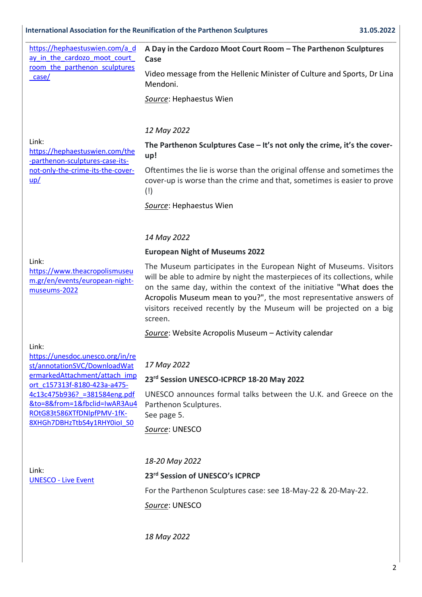[https://hephaestuswien.com/a\\_d](https://nam12.safelinks.protection.outlook.com/?url=https%3A%2F%2Fhephaestuswien.com%2Fa_day_in_the_cardozo_moot_court_room_the_parthenon_sculptures_case%2F&data=05%7C01%7C%7C95d3fabf4ff04e6f875008da34c6efa4%7C84df9e7fe9f640afb435aaaaaaaaaaaa%7C1%7C0%7C637880326269084820%7CUnknown%7CTWFpbGZsb3d8eyJWIjoiMC4wLjAwMDAiLCJQIjoiV2luMzIiLCJBTiI6Ik1haWwiLCJXVCI6Mn0%3D%7C3000%7C%7C%7C&sdata=AmcUJXWE78uyKwNSXCeKaalYrVzGQvAsh0L1LNUt7wQ%3D&reserved=0) ay in the cardozo moot court [room\\_the\\_parthenon\\_sculptures](https://nam12.safelinks.protection.outlook.com/?url=https%3A%2F%2Fhephaestuswien.com%2Fa_day_in_the_cardozo_moot_court_room_the_parthenon_sculptures_case%2F&data=05%7C01%7C%7C95d3fabf4ff04e6f875008da34c6efa4%7C84df9e7fe9f640afb435aaaaaaaaaaaa%7C1%7C0%7C637880326269084820%7CUnknown%7CTWFpbGZsb3d8eyJWIjoiMC4wLjAwMDAiLCJQIjoiV2luMzIiLCJBTiI6Ik1haWwiLCJXVCI6Mn0%3D%7C3000%7C%7C%7C&sdata=AmcUJXWE78uyKwNSXCeKaalYrVzGQvAsh0L1LNUt7wQ%3D&reserved=0) [\\_case/](https://nam12.safelinks.protection.outlook.com/?url=https%3A%2F%2Fhephaestuswien.com%2Fa_day_in_the_cardozo_moot_court_room_the_parthenon_sculptures_case%2F&data=05%7C01%7C%7C95d3fabf4ff04e6f875008da34c6efa4%7C84df9e7fe9f640afb435aaaaaaaaaaaa%7C1%7C0%7C637880326269084820%7CUnknown%7CTWFpbGZsb3d8eyJWIjoiMC4wLjAwMDAiLCJQIjoiV2luMzIiLCJBTiI6Ik1haWwiLCJXVCI6Mn0%3D%7C3000%7C%7C%7C&sdata=AmcUJXWE78uyKwNSXCeKaalYrVzGQvAsh0L1LNUt7wQ%3D&reserved=0)

#### **\_\_\_\_\_\_\_\_\_\_\_\_\_\_\_\_\_\_\_\_\_\_\_\_\_\_\_\_\_\_\_\_\_\_\_\_\_\_\_\_\_\_\_\_\_\_\_\_\_\_\_\_\_\_\_\_\_\_\_\_\_\_\_\_\_\_\_\_\_\_\_\_\_\_\_\_\_\_\_\_\_\_\_\_\_\_\_\_\_\_\_\_\_\_\_\_\_\_\_\_\_\_\_\_\_ A Day in the Cardozo Moot Court Room – The Parthenon Sculptures Case**

Video message from the Hellenic Minister of Culture and Sports, Dr Lina Mendoni.

*Source*: Hephaestus Wien

#### *12 May 2022*

Link:

[https://hephaestuswien.com/the](https://nam12.safelinks.protection.outlook.com/?url=https%3A%2F%2Fhephaestuswien.com%2Fthe-parthenon-sculptures-case-its-not-only-the-crime-its-the-cover-up%2F&data=05%7C01%7C%7C280cd0443cd047ef242c08da34c9137d%7C84df9e7fe9f640afb435aaaaaaaaaaaa%7C1%7C0%7C637880335461390753%7CUnknown%7CTWFpbGZsb3d8eyJWIjoiMC4wLjAwMDAiLCJQIjoiV2luMzIiLCJBTiI6Ik1haWwiLCJXVCI6Mn0%3D%7C3000%7C%7C%7C&sdata=mETE6xI7cNsiHzXtuVF41Fs%2FFSAiDAv94XQ7VYaDVfE%3D&reserved=0) [-parthenon-sculptures-case-its](https://nam12.safelinks.protection.outlook.com/?url=https%3A%2F%2Fhephaestuswien.com%2Fthe-parthenon-sculptures-case-its-not-only-the-crime-its-the-cover-up%2F&data=05%7C01%7C%7C280cd0443cd047ef242c08da34c9137d%7C84df9e7fe9f640afb435aaaaaaaaaaaa%7C1%7C0%7C637880335461390753%7CUnknown%7CTWFpbGZsb3d8eyJWIjoiMC4wLjAwMDAiLCJQIjoiV2luMzIiLCJBTiI6Ik1haWwiLCJXVCI6Mn0%3D%7C3000%7C%7C%7C&sdata=mETE6xI7cNsiHzXtuVF41Fs%2FFSAiDAv94XQ7VYaDVfE%3D&reserved=0)[not-only-the-crime-its-the-cover](https://nam12.safelinks.protection.outlook.com/?url=https%3A%2F%2Fhephaestuswien.com%2Fthe-parthenon-sculptures-case-its-not-only-the-crime-its-the-cover-up%2F&data=05%7C01%7C%7C280cd0443cd047ef242c08da34c9137d%7C84df9e7fe9f640afb435aaaaaaaaaaaa%7C1%7C0%7C637880335461390753%7CUnknown%7CTWFpbGZsb3d8eyJWIjoiMC4wLjAwMDAiLCJQIjoiV2luMzIiLCJBTiI6Ik1haWwiLCJXVCI6Mn0%3D%7C3000%7C%7C%7C&sdata=mETE6xI7cNsiHzXtuVF41Fs%2FFSAiDAv94XQ7VYaDVfE%3D&reserved=0)[up/](https://nam12.safelinks.protection.outlook.com/?url=https%3A%2F%2Fhephaestuswien.com%2Fthe-parthenon-sculptures-case-its-not-only-the-crime-its-the-cover-up%2F&data=05%7C01%7C%7C280cd0443cd047ef242c08da34c9137d%7C84df9e7fe9f640afb435aaaaaaaaaaaa%7C1%7C0%7C637880335461390753%7CUnknown%7CTWFpbGZsb3d8eyJWIjoiMC4wLjAwMDAiLCJQIjoiV2luMzIiLCJBTiI6Ik1haWwiLCJXVCI6Mn0%3D%7C3000%7C%7C%7C&sdata=mETE6xI7cNsiHzXtuVF41Fs%2FFSAiDAv94XQ7VYaDVfE%3D&reserved=0)

**The Parthenon Sculptures Case – It's not only the crime, it's the coverup!**

Oftentimes the lie is worse than the original offense and sometimes the cover-up is worse than the crime and that, sometimes is easier to prove (!)

*Source*: Hephaestus Wien

#### *14 May 2022*

#### **European Night of Museums 2022**

Link:

[https://www.theacropolismuseu](https://nam12.safelinks.protection.outlook.com/?url=https%3A%2F%2Fwww.theacropolismuseum.gr%2Fen%2Fevents%2Feuropean-night-museums-2022&data=05%7C01%7C%7C202946ed803744e5867008da34ced842%7C84df9e7fe9f640afb435aaaaaaaaaaaa%7C1%7C0%7C637880360233068788%7CUnknown%7CTWFpbGZsb3d8eyJWIjoiMC4wLjAwMDAiLCJQIjoiV2luMzIiLCJBTiI6Ik1haWwiLCJXVCI6Mn0%3D%7C3000%7C%7C%7C&sdata=ySMXHO2CJeCTqAgxoXBAUeCcJnm0mzIMTSDN%2B%2FiK8bY%3D&reserved=0) [m.gr/en/events/european-night](https://nam12.safelinks.protection.outlook.com/?url=https%3A%2F%2Fwww.theacropolismuseum.gr%2Fen%2Fevents%2Feuropean-night-museums-2022&data=05%7C01%7C%7C202946ed803744e5867008da34ced842%7C84df9e7fe9f640afb435aaaaaaaaaaaa%7C1%7C0%7C637880360233068788%7CUnknown%7CTWFpbGZsb3d8eyJWIjoiMC4wLjAwMDAiLCJQIjoiV2luMzIiLCJBTiI6Ik1haWwiLCJXVCI6Mn0%3D%7C3000%7C%7C%7C&sdata=ySMXHO2CJeCTqAgxoXBAUeCcJnm0mzIMTSDN%2B%2FiK8bY%3D&reserved=0)[museums-2022](https://nam12.safelinks.protection.outlook.com/?url=https%3A%2F%2Fwww.theacropolismuseum.gr%2Fen%2Fevents%2Feuropean-night-museums-2022&data=05%7C01%7C%7C202946ed803744e5867008da34ced842%7C84df9e7fe9f640afb435aaaaaaaaaaaa%7C1%7C0%7C637880360233068788%7CUnknown%7CTWFpbGZsb3d8eyJWIjoiMC4wLjAwMDAiLCJQIjoiV2luMzIiLCJBTiI6Ik1haWwiLCJXVCI6Mn0%3D%7C3000%7C%7C%7C&sdata=ySMXHO2CJeCTqAgxoXBAUeCcJnm0mzIMTSDN%2B%2FiK8bY%3D&reserved=0)

The Museum participates in the European Night of Museums. Visitors will be able to admire by night the masterpieces of its collections, while on the same day, within the context of the initiative ["What does the](https://www.theacropolismuseum.gr/en/what-does-acropolis-museum-mean-you)  [Acropolis Museum mean to you?",](https://www.theacropolismuseum.gr/en/what-does-acropolis-museum-mean-you) the most representative answers of visitors received recently by the Museum will be projected on a big screen.

*Source*: Website Acropolis Museum – Activity calendar

Link:

| https://unesdoc.unesco.org/in/re |
|----------------------------------|
| st/annotationSVC/DownloadWat     |
| ermarkedAttachment/attach imp    |
| ort c157313f-8180-423a-a475-     |
| 4c13c475b936? = 381584eng.pdf    |
| &to=8&from=1&fbclid=IwAR3Au4     |
| ROtG83t586XTfDNlpfPMV-1fK-       |
| 8XHGh7DBHzTtbS4y1RHY0iol S0      |
|                                  |

#### *17 May 2022*

#### **23rd Session UNESCO-ICPRCP 18-20 May 2022**

UNESCO announces formal talks between the U.K. and Greece on the Parthenon Sculptures. See page 5.

*Source*: UNESCO

Link: UNESCO - [Live Event](http://webcast.unesco.org/events/2022-05-ICPRCP/)

# *18-20 May 2022*

#### **23rd Session of UNESCO's ICPRCP**

For the Parthenon Sculptures case: see 18-May-22 & 20-May-22.

*Source*: UNESCO

*18 May 2022*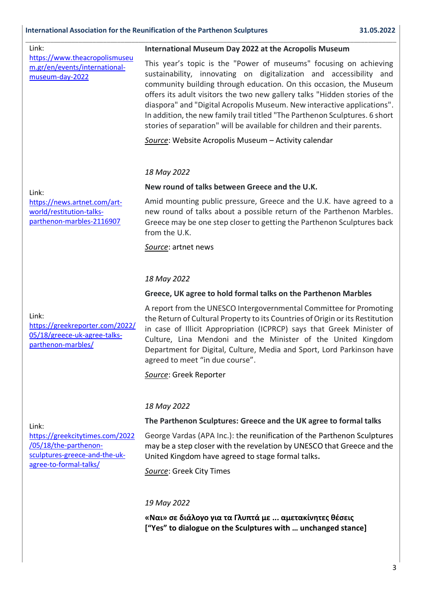| Link:                                                                                                                        | International Museum Day 2022 at the Acropolis Museum                                                                                                                                                                                                                                                                                                                                                                                                                                                                             |
|------------------------------------------------------------------------------------------------------------------------------|-----------------------------------------------------------------------------------------------------------------------------------------------------------------------------------------------------------------------------------------------------------------------------------------------------------------------------------------------------------------------------------------------------------------------------------------------------------------------------------------------------------------------------------|
| https://www.theacropolismuseu<br>m.gr/en/events/international-<br>museum-day-2022                                            | This year's topic is the "Power of museums" focusing on achieving<br>sustainability, innovating on digitalization and accessibility and<br>community building through education. On this occasion, the Museum<br>offers its adult visitors the two new gallery talks "Hidden stories of the<br>diaspora" and "Digital Acropolis Museum. New interactive applications".<br>In addition, the new family trail titled "The Parthenon Sculptures. 6 short<br>stories of separation" will be available for children and their parents. |
|                                                                                                                              | Source: Website Acropolis Museum - Activity calendar                                                                                                                                                                                                                                                                                                                                                                                                                                                                              |
| Link:<br>https://news.artnet.com/art-<br>world/restitution-talks-<br>parthenon-marbles-2116907                               | 18 May 2022                                                                                                                                                                                                                                                                                                                                                                                                                                                                                                                       |
|                                                                                                                              | New round of talks between Greece and the U.K.                                                                                                                                                                                                                                                                                                                                                                                                                                                                                    |
|                                                                                                                              | Amid mounting public pressure, Greece and the U.K. have agreed to a<br>new round of talks about a possible return of the Parthenon Marbles.<br>Greece may be one step closer to getting the Parthenon Sculptures back<br>from the U.K.                                                                                                                                                                                                                                                                                            |
|                                                                                                                              | Source: artnet news                                                                                                                                                                                                                                                                                                                                                                                                                                                                                                               |
|                                                                                                                              |                                                                                                                                                                                                                                                                                                                                                                                                                                                                                                                                   |
|                                                                                                                              | 18 May 2022                                                                                                                                                                                                                                                                                                                                                                                                                                                                                                                       |
| Link:<br>https://greekreporter.com/2022/<br>05/18/greece-uk-agree-talks-<br>parthenon-marbles/                               | Greece, UK agree to hold formal talks on the Parthenon Marbles                                                                                                                                                                                                                                                                                                                                                                                                                                                                    |
|                                                                                                                              | A report from the UNESCO Intergovernmental Committee for Promoting<br>the Return of Cultural Property to its Countries of Origin or its Restitution<br>in case of Illicit Appropriation (ICPRCP) says that Greek Minister of<br>Culture, Lina Mendoni and the Minister of the United Kingdom<br>Department for Digital, Culture, Media and Sport, Lord Parkinson have<br>agreed to meet "in due course".                                                                                                                          |
|                                                                                                                              | Source: Greek Reporter                                                                                                                                                                                                                                                                                                                                                                                                                                                                                                            |
|                                                                                                                              |                                                                                                                                                                                                                                                                                                                                                                                                                                                                                                                                   |
| Link:<br>https://greekcitytimes.com/2022<br>/05/18/the-parthenon-<br>sculptures-greece-and-the-uk-<br>agree-to-formal-talks/ | 18 May 2022                                                                                                                                                                                                                                                                                                                                                                                                                                                                                                                       |
|                                                                                                                              | The Parthenon Sculptures: Greece and the UK agree to formal talks                                                                                                                                                                                                                                                                                                                                                                                                                                                                 |
|                                                                                                                              | George Vardas (APA Inc.): the reunification of the Parthenon Sculptures<br>may be a step closer with the revelation by UNESCO that Greece and the<br>United Kingdom have agreed to stage formal talks.                                                                                                                                                                                                                                                                                                                            |
|                                                                                                                              | Source: Greek City Times                                                                                                                                                                                                                                                                                                                                                                                                                                                                                                          |
|                                                                                                                              |                                                                                                                                                                                                                                                                                                                                                                                                                                                                                                                                   |
|                                                                                                                              | 19 May 2022                                                                                                                                                                                                                                                                                                                                                                                                                                                                                                                       |

**«Ναι» σε διάλογο για τα Γλυπτά με ... αμετακίνητες θέσεις ["Yes" to dialogue on the Sculptures with … unchanged stance]**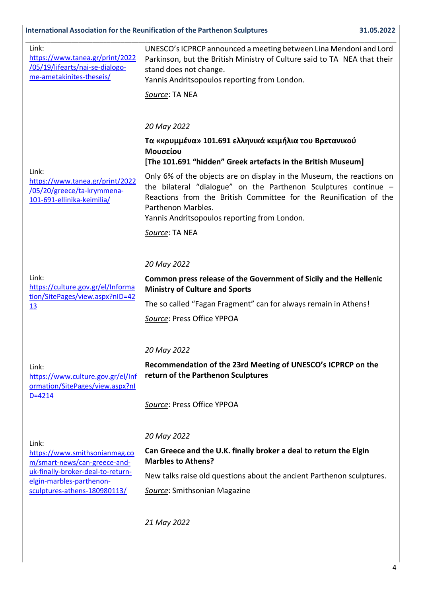# **International Association for the Reunification of the Parthenon Sculptures 31.05.2022**

| Link:<br>https://www.tanea.gr/print/2022<br>/05/19/lifearts/nai-se-dialogo-<br>me-ametakinites-theseis/                                                                 | UNESCO's ICPRCP announced a meeting between Lina Mendoni and Lord<br>Parkinson, but the British Ministry of Culture said to TA NEA that their<br>stand does not change.<br>Yannis Andritsopoulos reporting from London.                                                             |
|-------------------------------------------------------------------------------------------------------------------------------------------------------------------------|-------------------------------------------------------------------------------------------------------------------------------------------------------------------------------------------------------------------------------------------------------------------------------------|
|                                                                                                                                                                         | Source: TA NEA                                                                                                                                                                                                                                                                      |
|                                                                                                                                                                         |                                                                                                                                                                                                                                                                                     |
|                                                                                                                                                                         | 20 May 2022                                                                                                                                                                                                                                                                         |
| Link:<br>https://www.tanea.gr/print/2022<br>/05/20/greece/ta-krymmena-<br>101-691-ellinika-keimilia/                                                                    | Τα «κρυμμένα» 101.691 ελληνικά κειμήλια του Βρετανικού<br>Μουσείου<br>[The 101.691 "hidden" Greek artefacts in the British Museum]                                                                                                                                                  |
|                                                                                                                                                                         | Only 6% of the objects are on display in the Museum, the reactions on<br>the bilateral "dialogue" on the Parthenon Sculptures continue -<br>Reactions from the British Committee for the Reunification of the<br>Parthenon Marbles.<br>Yannis Andritsopoulos reporting from London. |
|                                                                                                                                                                         | Source: TA NEA                                                                                                                                                                                                                                                                      |
|                                                                                                                                                                         |                                                                                                                                                                                                                                                                                     |
| Link:<br>https://culture.gov.gr/el/Informa<br>tion/SitePages/view.aspx?nID=42<br>13                                                                                     | 20 May 2022                                                                                                                                                                                                                                                                         |
|                                                                                                                                                                         | Common press release of the Government of Sicily and the Hellenic<br><b>Ministry of Culture and Sports</b>                                                                                                                                                                          |
|                                                                                                                                                                         | The so called "Fagan Fragment" can for always remain in Athens!                                                                                                                                                                                                                     |
|                                                                                                                                                                         | Source: Press Office YPPOA                                                                                                                                                                                                                                                          |
|                                                                                                                                                                         |                                                                                                                                                                                                                                                                                     |
| Link:<br>https://www.culture.gov.gr/el/Inf<br>ormation/SitePages/view.aspx?nl<br>$D = 4214$                                                                             | 20 May 2022                                                                                                                                                                                                                                                                         |
|                                                                                                                                                                         | Recommendation of the 23rd Meeting of UNESCO's ICPRCP on the<br>return of the Parthenon Sculptures                                                                                                                                                                                  |
|                                                                                                                                                                         | Source: Press Office YPPOA                                                                                                                                                                                                                                                          |
| Link:<br>https://www.smithsonianmag.co<br>m/smart-news/can-greece-and-<br>uk-finally-broker-deal-to-return-<br>elgin-marbles-parthenon-<br>sculptures-athens-180980113/ | 20 May 2022                                                                                                                                                                                                                                                                         |
|                                                                                                                                                                         | Can Greece and the U.K. finally broker a deal to return the Elgin<br><b>Marbles to Athens?</b>                                                                                                                                                                                      |
|                                                                                                                                                                         | New talks raise old questions about the ancient Parthenon sculptures.                                                                                                                                                                                                               |
|                                                                                                                                                                         | Source: Smithsonian Magazine                                                                                                                                                                                                                                                        |
|                                                                                                                                                                         | 21 May 2022                                                                                                                                                                                                                                                                         |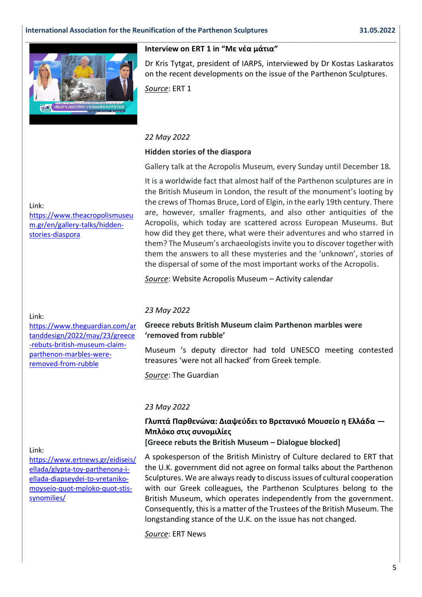

#### **Interview on ERT 1 in "Με νέα μάτια"**

Dr Kris Tytgat, president of IARPS, interviewed by Dr Kostas Laskaratos on the recent developments on the issue of the Parthenon Sculptures.

*Source*: ERT 1

#### *22 May 2022*

### **Hidden stories of the diaspora**

Gallery talk at the Acropolis Museum, every Sunday until December 18.

It is a worldwide fact that almost half of the Parthenon sculptures are in the British Museum in London, the result of the monument's looting by the crews of Thomas Bruce, Lord of Elgin, in the early 19th century. There are, however, smaller fragments, and also other antiquities of the Acropolis, which today are scattered across European Museums. But how did they get there, what were their adventures and who starred in them? The Museum's archaeologists invite you to discover together with them the answers to all these mysteries and the 'unknown', stories of the dispersal of some of the most important works of the Acropolis.

*Source*: Website Acropolis Museum – Activity calendar

#### Link:

[https://www.theguardian.com/ar](https://nam12.safelinks.protection.outlook.com/?url=https%3A%2F%2Fwww.theguardian.com%2Fartanddesign%2F2022%2Fmay%2F23%2Fgreece-rebuts-british-museum-claim-parthenon-marbles-were-removed-from-rubble&data=05%7C01%7C%7C0e40023c4c454c781fc108da3ccc4c9e%7C84df9e7fe9f640afb435aaaaaaaaaaaa%7C1%7C0%7C637889145391922409%7CUnknown%7CTWFpbGZsb3d8eyJWIjoiMC4wLjAwMDAiLCJQIjoiV2luMzIiLCJBTiI6Ik1haWwiLCJXVCI6Mn0%3D%7C3000%7C%7C%7C&sdata=%2F%2BtTGgBOx5SHRljPG857NpxuGS%2FhyXtMYv96CAHF9cA%3D&reserved=0) [tanddesign/2022/may/23/greece](https://nam12.safelinks.protection.outlook.com/?url=https%3A%2F%2Fwww.theguardian.com%2Fartanddesign%2F2022%2Fmay%2F23%2Fgreece-rebuts-british-museum-claim-parthenon-marbles-were-removed-from-rubble&data=05%7C01%7C%7C0e40023c4c454c781fc108da3ccc4c9e%7C84df9e7fe9f640afb435aaaaaaaaaaaa%7C1%7C0%7C637889145391922409%7CUnknown%7CTWFpbGZsb3d8eyJWIjoiMC4wLjAwMDAiLCJQIjoiV2luMzIiLCJBTiI6Ik1haWwiLCJXVCI6Mn0%3D%7C3000%7C%7C%7C&sdata=%2F%2BtTGgBOx5SHRljPG857NpxuGS%2FhyXtMYv96CAHF9cA%3D&reserved=0) [-rebuts-british-museum-claim](https://nam12.safelinks.protection.outlook.com/?url=https%3A%2F%2Fwww.theguardian.com%2Fartanddesign%2F2022%2Fmay%2F23%2Fgreece-rebuts-british-museum-claim-parthenon-marbles-were-removed-from-rubble&data=05%7C01%7C%7C0e40023c4c454c781fc108da3ccc4c9e%7C84df9e7fe9f640afb435aaaaaaaaaaaa%7C1%7C0%7C637889145391922409%7CUnknown%7CTWFpbGZsb3d8eyJWIjoiMC4wLjAwMDAiLCJQIjoiV2luMzIiLCJBTiI6Ik1haWwiLCJXVCI6Mn0%3D%7C3000%7C%7C%7C&sdata=%2F%2BtTGgBOx5SHRljPG857NpxuGS%2FhyXtMYv96CAHF9cA%3D&reserved=0)[parthenon-marbles-were](https://nam12.safelinks.protection.outlook.com/?url=https%3A%2F%2Fwww.theguardian.com%2Fartanddesign%2F2022%2Fmay%2F23%2Fgreece-rebuts-british-museum-claim-parthenon-marbles-were-removed-from-rubble&data=05%7C01%7C%7C0e40023c4c454c781fc108da3ccc4c9e%7C84df9e7fe9f640afb435aaaaaaaaaaaa%7C1%7C0%7C637889145391922409%7CUnknown%7CTWFpbGZsb3d8eyJWIjoiMC4wLjAwMDAiLCJQIjoiV2luMzIiLCJBTiI6Ik1haWwiLCJXVCI6Mn0%3D%7C3000%7C%7C%7C&sdata=%2F%2BtTGgBOx5SHRljPG857NpxuGS%2FhyXtMYv96CAHF9cA%3D&reserved=0)[removed-from-rubble](https://nam12.safelinks.protection.outlook.com/?url=https%3A%2F%2Fwww.theguardian.com%2Fartanddesign%2F2022%2Fmay%2F23%2Fgreece-rebuts-british-museum-claim-parthenon-marbles-were-removed-from-rubble&data=05%7C01%7C%7C0e40023c4c454c781fc108da3ccc4c9e%7C84df9e7fe9f640afb435aaaaaaaaaaaa%7C1%7C0%7C637889145391922409%7CUnknown%7CTWFpbGZsb3d8eyJWIjoiMC4wLjAwMDAiLCJQIjoiV2luMzIiLCJBTiI6Ik1haWwiLCJXVCI6Mn0%3D%7C3000%7C%7C%7C&sdata=%2F%2BtTGgBOx5SHRljPG857NpxuGS%2FhyXtMYv96CAHF9cA%3D&reserved=0)

#### *23 May 2022*

#### **Greece rebuts British Museum claim Parthenon marbles were 'removed from rubble'**

Museum 's deputy director had told UNESCO meeting contested treasures 'were not all hacked' from Greek temple.

*Source*: The Guardian

### *23 May 2022*

# **Γλυπτά Παρθενώνα: Διαψεύδει το Βρετανικό Μουσείο η Ελλάδα — Μπλόκο στις συνομιλίες**

**[Greece rebuts the British Museum – Dialogue blocked]**

#### Link:

[https://www.ertnews.gr/eidiseis/](https://nam12.safelinks.protection.outlook.com/?url=https%3A%2F%2Fwww.ertnews.gr%2Feidiseis%2Fellada%2Fglypta-toy-parthenona-i-ellada-diapseydei-to-vretaniko-moyseio-quot-mploko-quot-stis-synomilies%2F&data=05%7C01%7C%7C3018cafbea75472b15a008da3ccb4708%7C84df9e7fe9f640afb435aaaaaaaaaaaa%7C1%7C0%7C637889141016072887%7CUnknown%7CTWFpbGZsb3d8eyJWIjoiMC4wLjAwMDAiLCJQIjoiV2luMzIiLCJBTiI6Ik1haWwiLCJXVCI6Mn0%3D%7C3000%7C%7C%7C&sdata=K35N0QL%2F9PLt%2FTvsmWmLHguuMQs1Q4GtFaKN6tQ6Eqc%3D&reserved=0) [ellada/glypta-toy-parthenona-i](https://nam12.safelinks.protection.outlook.com/?url=https%3A%2F%2Fwww.ertnews.gr%2Feidiseis%2Fellada%2Fglypta-toy-parthenona-i-ellada-diapseydei-to-vretaniko-moyseio-quot-mploko-quot-stis-synomilies%2F&data=05%7C01%7C%7C3018cafbea75472b15a008da3ccb4708%7C84df9e7fe9f640afb435aaaaaaaaaaaa%7C1%7C0%7C637889141016072887%7CUnknown%7CTWFpbGZsb3d8eyJWIjoiMC4wLjAwMDAiLCJQIjoiV2luMzIiLCJBTiI6Ik1haWwiLCJXVCI6Mn0%3D%7C3000%7C%7C%7C&sdata=K35N0QL%2F9PLt%2FTvsmWmLHguuMQs1Q4GtFaKN6tQ6Eqc%3D&reserved=0)[ellada-diapseydei-to-vretaniko](https://nam12.safelinks.protection.outlook.com/?url=https%3A%2F%2Fwww.ertnews.gr%2Feidiseis%2Fellada%2Fglypta-toy-parthenona-i-ellada-diapseydei-to-vretaniko-moyseio-quot-mploko-quot-stis-synomilies%2F&data=05%7C01%7C%7C3018cafbea75472b15a008da3ccb4708%7C84df9e7fe9f640afb435aaaaaaaaaaaa%7C1%7C0%7C637889141016072887%7CUnknown%7CTWFpbGZsb3d8eyJWIjoiMC4wLjAwMDAiLCJQIjoiV2luMzIiLCJBTiI6Ik1haWwiLCJXVCI6Mn0%3D%7C3000%7C%7C%7C&sdata=K35N0QL%2F9PLt%2FTvsmWmLHguuMQs1Q4GtFaKN6tQ6Eqc%3D&reserved=0)[moyseio-quot-mploko-quot-stis](https://nam12.safelinks.protection.outlook.com/?url=https%3A%2F%2Fwww.ertnews.gr%2Feidiseis%2Fellada%2Fglypta-toy-parthenona-i-ellada-diapseydei-to-vretaniko-moyseio-quot-mploko-quot-stis-synomilies%2F&data=05%7C01%7C%7C3018cafbea75472b15a008da3ccb4708%7C84df9e7fe9f640afb435aaaaaaaaaaaa%7C1%7C0%7C637889141016072887%7CUnknown%7CTWFpbGZsb3d8eyJWIjoiMC4wLjAwMDAiLCJQIjoiV2luMzIiLCJBTiI6Ik1haWwiLCJXVCI6Mn0%3D%7C3000%7C%7C%7C&sdata=K35N0QL%2F9PLt%2FTvsmWmLHguuMQs1Q4GtFaKN6tQ6Eqc%3D&reserved=0)[synomilies/](https://nam12.safelinks.protection.outlook.com/?url=https%3A%2F%2Fwww.ertnews.gr%2Feidiseis%2Fellada%2Fglypta-toy-parthenona-i-ellada-diapseydei-to-vretaniko-moyseio-quot-mploko-quot-stis-synomilies%2F&data=05%7C01%7C%7C3018cafbea75472b15a008da3ccb4708%7C84df9e7fe9f640afb435aaaaaaaaaaaa%7C1%7C0%7C637889141016072887%7CUnknown%7CTWFpbGZsb3d8eyJWIjoiMC4wLjAwMDAiLCJQIjoiV2luMzIiLCJBTiI6Ik1haWwiLCJXVCI6Mn0%3D%7C3000%7C%7C%7C&sdata=K35N0QL%2F9PLt%2FTvsmWmLHguuMQs1Q4GtFaKN6tQ6Eqc%3D&reserved=0)

A spokesperson of the British Ministry of Culture declared to ERT that the U.K. government did not agree on formal talks about the Parthenon Sculptures. We are always ready to discuss issues of cultural cooperation with our Greek colleagues, the Parthenon Sculptures belong to the British Museum, which operates independently from the government. Consequently, this is a matter of the Trustees of the British Museum. The longstanding stance of the U.K. on the issue has not changed.

*Source*: ERT News

# Link:

[https://www.theacropolismuseu](https://nam12.safelinks.protection.outlook.com/?url=https%3A%2F%2Fwww.theacropolismuseum.gr%2Fen%2Fgallery-talks%2Fhidden-stories-diaspora&data=05%7C01%7C%7C5d4a942224544ab7e9e608da34d0b53b%7C84df9e7fe9f640afb435aaaaaaaaaaaa%7C1%7C0%7C637880368237573635%7CUnknown%7CTWFpbGZsb3d8eyJWIjoiMC4wLjAwMDAiLCJQIjoiV2luMzIiLCJBTiI6Ik1haWwiLCJXVCI6Mn0%3D%7C3000%7C%7C%7C&sdata=3QQZf6WlA9wzQsP1Vm1ykRaHCzgcDR5QL9fTZJy%2BIfQ%3D&reserved=0) [m.gr/en/gallery-talks/hidden](https://nam12.safelinks.protection.outlook.com/?url=https%3A%2F%2Fwww.theacropolismuseum.gr%2Fen%2Fgallery-talks%2Fhidden-stories-diaspora&data=05%7C01%7C%7C5d4a942224544ab7e9e608da34d0b53b%7C84df9e7fe9f640afb435aaaaaaaaaaaa%7C1%7C0%7C637880368237573635%7CUnknown%7CTWFpbGZsb3d8eyJWIjoiMC4wLjAwMDAiLCJQIjoiV2luMzIiLCJBTiI6Ik1haWwiLCJXVCI6Mn0%3D%7C3000%7C%7C%7C&sdata=3QQZf6WlA9wzQsP1Vm1ykRaHCzgcDR5QL9fTZJy%2BIfQ%3D&reserved=0)[stories-diaspora](https://nam12.safelinks.protection.outlook.com/?url=https%3A%2F%2Fwww.theacropolismuseum.gr%2Fen%2Fgallery-talks%2Fhidden-stories-diaspora&data=05%7C01%7C%7C5d4a942224544ab7e9e608da34d0b53b%7C84df9e7fe9f640afb435aaaaaaaaaaaa%7C1%7C0%7C637880368237573635%7CUnknown%7CTWFpbGZsb3d8eyJWIjoiMC4wLjAwMDAiLCJQIjoiV2luMzIiLCJBTiI6Ik1haWwiLCJXVCI6Mn0%3D%7C3000%7C%7C%7C&sdata=3QQZf6WlA9wzQsP1Vm1ykRaHCzgcDR5QL9fTZJy%2BIfQ%3D&reserved=0)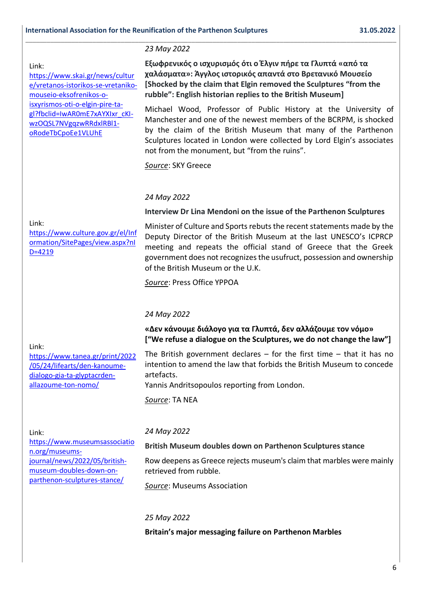#### Link:

[https://www.skai.gr/news/cultur](https://nam12.safelinks.protection.outlook.com/?url=https%3A%2F%2Fwww.skai.gr%2Fnews%2Fculture%2Fvretanos-istorikos-se-vretaniko-mouseio-eksofrenikos-o-isxyrismos-oti-o-elgin-pire-ta-gl%3Ffbclid%3DIwAR0mE7xAYXIxr_cKI-wzOQSL7NVgqzwRRdxlRBl1-oRodeTbCpoEe1VLUhE&data=05%7C01%7C%7C1170c4412b3a456df2e708da3fc81e28%7C84df9e7fe9f640afb435aaaaaaaaaaaa%7C1%7C0%7C637892425971727898%7CUnknown%7CTWFpbGZsb3d8eyJWIjoiMC4wLjAwMDAiLCJQIjoiV2luMzIiLCJBTiI6Ik1haWwiLCJXVCI6Mn0%3D%7C3000%7C%7C%7C&sdata=WdrRTBZSfHbueWU6V70%2B9PKpAh50EZ%2F6M2iXp%2FK%2By8Q%3D&reserved=0) [e/vretanos-istorikos-se-vretaniko](https://nam12.safelinks.protection.outlook.com/?url=https%3A%2F%2Fwww.skai.gr%2Fnews%2Fculture%2Fvretanos-istorikos-se-vretaniko-mouseio-eksofrenikos-o-isxyrismos-oti-o-elgin-pire-ta-gl%3Ffbclid%3DIwAR0mE7xAYXIxr_cKI-wzOQSL7NVgqzwRRdxlRBl1-oRodeTbCpoEe1VLUhE&data=05%7C01%7C%7C1170c4412b3a456df2e708da3fc81e28%7C84df9e7fe9f640afb435aaaaaaaaaaaa%7C1%7C0%7C637892425971727898%7CUnknown%7CTWFpbGZsb3d8eyJWIjoiMC4wLjAwMDAiLCJQIjoiV2luMzIiLCJBTiI6Ik1haWwiLCJXVCI6Mn0%3D%7C3000%7C%7C%7C&sdata=WdrRTBZSfHbueWU6V70%2B9PKpAh50EZ%2F6M2iXp%2FK%2By8Q%3D&reserved=0)[mouseio-eksofrenikos-o](https://nam12.safelinks.protection.outlook.com/?url=https%3A%2F%2Fwww.skai.gr%2Fnews%2Fculture%2Fvretanos-istorikos-se-vretaniko-mouseio-eksofrenikos-o-isxyrismos-oti-o-elgin-pire-ta-gl%3Ffbclid%3DIwAR0mE7xAYXIxr_cKI-wzOQSL7NVgqzwRRdxlRBl1-oRodeTbCpoEe1VLUhE&data=05%7C01%7C%7C1170c4412b3a456df2e708da3fc81e28%7C84df9e7fe9f640afb435aaaaaaaaaaaa%7C1%7C0%7C637892425971727898%7CUnknown%7CTWFpbGZsb3d8eyJWIjoiMC4wLjAwMDAiLCJQIjoiV2luMzIiLCJBTiI6Ik1haWwiLCJXVCI6Mn0%3D%7C3000%7C%7C%7C&sdata=WdrRTBZSfHbueWU6V70%2B9PKpAh50EZ%2F6M2iXp%2FK%2By8Q%3D&reserved=0)[isxyrismos-oti-o-elgin-pire-ta](https://nam12.safelinks.protection.outlook.com/?url=https%3A%2F%2Fwww.skai.gr%2Fnews%2Fculture%2Fvretanos-istorikos-se-vretaniko-mouseio-eksofrenikos-o-isxyrismos-oti-o-elgin-pire-ta-gl%3Ffbclid%3DIwAR0mE7xAYXIxr_cKI-wzOQSL7NVgqzwRRdxlRBl1-oRodeTbCpoEe1VLUhE&data=05%7C01%7C%7C1170c4412b3a456df2e708da3fc81e28%7C84df9e7fe9f640afb435aaaaaaaaaaaa%7C1%7C0%7C637892425971727898%7CUnknown%7CTWFpbGZsb3d8eyJWIjoiMC4wLjAwMDAiLCJQIjoiV2luMzIiLCJBTiI6Ik1haWwiLCJXVCI6Mn0%3D%7C3000%7C%7C%7C&sdata=WdrRTBZSfHbueWU6V70%2B9PKpAh50EZ%2F6M2iXp%2FK%2By8Q%3D&reserved=0)[gl?fbclid=IwAR0mE7xAYXIxr\\_cKI](https://nam12.safelinks.protection.outlook.com/?url=https%3A%2F%2Fwww.skai.gr%2Fnews%2Fculture%2Fvretanos-istorikos-se-vretaniko-mouseio-eksofrenikos-o-isxyrismos-oti-o-elgin-pire-ta-gl%3Ffbclid%3DIwAR0mE7xAYXIxr_cKI-wzOQSL7NVgqzwRRdxlRBl1-oRodeTbCpoEe1VLUhE&data=05%7C01%7C%7C1170c4412b3a456df2e708da3fc81e28%7C84df9e7fe9f640afb435aaaaaaaaaaaa%7C1%7C0%7C637892425971727898%7CUnknown%7CTWFpbGZsb3d8eyJWIjoiMC4wLjAwMDAiLCJQIjoiV2luMzIiLCJBTiI6Ik1haWwiLCJXVCI6Mn0%3D%7C3000%7C%7C%7C&sdata=WdrRTBZSfHbueWU6V70%2B9PKpAh50EZ%2F6M2iXp%2FK%2By8Q%3D&reserved=0)[wzOQSL7NVgqzwRRdxlRBl1](https://nam12.safelinks.protection.outlook.com/?url=https%3A%2F%2Fwww.skai.gr%2Fnews%2Fculture%2Fvretanos-istorikos-se-vretaniko-mouseio-eksofrenikos-o-isxyrismos-oti-o-elgin-pire-ta-gl%3Ffbclid%3DIwAR0mE7xAYXIxr_cKI-wzOQSL7NVgqzwRRdxlRBl1-oRodeTbCpoEe1VLUhE&data=05%7C01%7C%7C1170c4412b3a456df2e708da3fc81e28%7C84df9e7fe9f640afb435aaaaaaaaaaaa%7C1%7C0%7C637892425971727898%7CUnknown%7CTWFpbGZsb3d8eyJWIjoiMC4wLjAwMDAiLCJQIjoiV2luMzIiLCJBTiI6Ik1haWwiLCJXVCI6Mn0%3D%7C3000%7C%7C%7C&sdata=WdrRTBZSfHbueWU6V70%2B9PKpAh50EZ%2F6M2iXp%2FK%2By8Q%3D&reserved=0) [oRodeTbCpoEe1VLUhE](https://nam12.safelinks.protection.outlook.com/?url=https%3A%2F%2Fwww.skai.gr%2Fnews%2Fculture%2Fvretanos-istorikos-se-vretaniko-mouseio-eksofrenikos-o-isxyrismos-oti-o-elgin-pire-ta-gl%3Ffbclid%3DIwAR0mE7xAYXIxr_cKI-wzOQSL7NVgqzwRRdxlRBl1-oRodeTbCpoEe1VLUhE&data=05%7C01%7C%7C1170c4412b3a456df2e708da3fc81e28%7C84df9e7fe9f640afb435aaaaaaaaaaaa%7C1%7C0%7C637892425971727898%7CUnknown%7CTWFpbGZsb3d8eyJWIjoiMC4wLjAwMDAiLCJQIjoiV2luMzIiLCJBTiI6Ik1haWwiLCJXVCI6Mn0%3D%7C3000%7C%7C%7C&sdata=WdrRTBZSfHbueWU6V70%2B9PKpAh50EZ%2F6M2iXp%2FK%2By8Q%3D&reserved=0)

#### *23 May 2022*

**\_\_\_\_\_\_\_\_\_\_\_\_\_\_\_\_\_\_\_\_\_\_\_\_\_\_\_\_\_\_\_\_\_\_\_\_\_\_\_\_\_\_\_\_\_\_\_\_\_\_\_\_\_\_\_\_\_\_\_\_\_\_\_\_\_\_\_\_\_\_\_\_\_\_\_\_\_\_\_\_\_\_\_\_\_\_\_\_\_\_\_\_\_\_\_\_\_\_\_\_\_\_\_\_\_**

**Εξωφρενικός ο ισχυρισμός ότι ο Έλγιν πήρε τα Γλυπτά «από τα χαλάσματα»: Άγγλος ιστορικός απαντά στο Βρετανικό Μουσείο [Shocked by the claim that Elgin removed the Sculptures "from the rubble": English historian replies to the British Museum]**

Michael Wood, Professor of Public History at the University of Manchester and one of the newest members of the BCRPM, is shocked by the claim of the British Museum that many of the Parthenon Sculptures located in London were collected by Lord Elgin's associates not from the monument, but "from the ruins".

*Source*: SKY Greece

#### *24 May 2022*

**Interview Dr Lina Mendoni on the issue of the Parthenon Sculptures**

#### Link:

[https://www.culture.gov.gr/el/Inf](https://nam12.safelinks.protection.outlook.com/?url=https%3A%2F%2Fwww.culture.gov.gr%2Fel%2FInformation%2FSitePages%2Fview.aspx%3FnID%3D4219&data=05%7C01%7C%7C168d083daf5a4f93d00c08da3d66e6e6%7C84df9e7fe9f640afb435aaaaaaaaaaaa%7C1%7C0%7C637889809407941924%7CUnknown%7CTWFpbGZsb3d8eyJWIjoiMC4wLjAwMDAiLCJQIjoiV2luMzIiLCJBTiI6Ik1haWwiLCJXVCI6Mn0%3D%7C3000%7C%7C%7C&sdata=Q4Voc6gcqkyPYIpRzaJhNVE6232taphL2GeBNuFc2gc%3D&reserved=0) [ormation/SitePages/view.aspx?nI](https://nam12.safelinks.protection.outlook.com/?url=https%3A%2F%2Fwww.culture.gov.gr%2Fel%2FInformation%2FSitePages%2Fview.aspx%3FnID%3D4219&data=05%7C01%7C%7C168d083daf5a4f93d00c08da3d66e6e6%7C84df9e7fe9f640afb435aaaaaaaaaaaa%7C1%7C0%7C637889809407941924%7CUnknown%7CTWFpbGZsb3d8eyJWIjoiMC4wLjAwMDAiLCJQIjoiV2luMzIiLCJBTiI6Ik1haWwiLCJXVCI6Mn0%3D%7C3000%7C%7C%7C&sdata=Q4Voc6gcqkyPYIpRzaJhNVE6232taphL2GeBNuFc2gc%3D&reserved=0) [D=4219](https://nam12.safelinks.protection.outlook.com/?url=https%3A%2F%2Fwww.culture.gov.gr%2Fel%2FInformation%2FSitePages%2Fview.aspx%3FnID%3D4219&data=05%7C01%7C%7C168d083daf5a4f93d00c08da3d66e6e6%7C84df9e7fe9f640afb435aaaaaaaaaaaa%7C1%7C0%7C637889809407941924%7CUnknown%7CTWFpbGZsb3d8eyJWIjoiMC4wLjAwMDAiLCJQIjoiV2luMzIiLCJBTiI6Ik1haWwiLCJXVCI6Mn0%3D%7C3000%7C%7C%7C&sdata=Q4Voc6gcqkyPYIpRzaJhNVE6232taphL2GeBNuFc2gc%3D&reserved=0)

Minister of Culture and Sports rebuts the recent statements made by the Deputy Director of the British Museum at the last UNESCO's ICPRCP meeting and repeats the official stand of Greece that the Greek government does not recognizes the usufruct, possession and ownership of the British Museum or the U.K.

*Source*: Press Office YPPOA

#### *24 May 2022*

**«Δεν κάνουμε διάλογο για τα Γλυπτά, δεν αλλάζουμε τον νόμο» ["We refuse a dialogue on the Sculptures, we do not change the law"]**

[https://www.tanea.gr/print/2022](https://nam12.safelinks.protection.outlook.com/?url=https%3A%2F%2Fwww.tanea.gr%2Fprint%2F2022%2F05%2F24%2Flifearts%2Fden-kanoume-dialogo-gia-ta-glyptacrden-allazoume-ton-nomo%2F&data=05%7C01%7C%7Cccba015b4c704a8046ad08da3ef7643e%7C84df9e7fe9f640afb435aaaaaaaaaaaa%7C1%7C0%7C637891529630837880%7CUnknown%7CTWFpbGZsb3d8eyJWIjoiMC4wLjAwMDAiLCJQIjoiV2luMzIiLCJBTiI6Ik1haWwiLCJXVCI6Mn0%3D%7C3000%7C%7C%7C&sdata=Ec7ikbFqvSqw2O0d2Au2Wv4Kx7L8W%2BLKnNmo6esuTNI%3D&reserved=0) [/05/24/lifearts/den-kanoume](https://nam12.safelinks.protection.outlook.com/?url=https%3A%2F%2Fwww.tanea.gr%2Fprint%2F2022%2F05%2F24%2Flifearts%2Fden-kanoume-dialogo-gia-ta-glyptacrden-allazoume-ton-nomo%2F&data=05%7C01%7C%7Cccba015b4c704a8046ad08da3ef7643e%7C84df9e7fe9f640afb435aaaaaaaaaaaa%7C1%7C0%7C637891529630837880%7CUnknown%7CTWFpbGZsb3d8eyJWIjoiMC4wLjAwMDAiLCJQIjoiV2luMzIiLCJBTiI6Ik1haWwiLCJXVCI6Mn0%3D%7C3000%7C%7C%7C&sdata=Ec7ikbFqvSqw2O0d2Au2Wv4Kx7L8W%2BLKnNmo6esuTNI%3D&reserved=0)[dialogo-gia-ta-glyptacrden](https://nam12.safelinks.protection.outlook.com/?url=https%3A%2F%2Fwww.tanea.gr%2Fprint%2F2022%2F05%2F24%2Flifearts%2Fden-kanoume-dialogo-gia-ta-glyptacrden-allazoume-ton-nomo%2F&data=05%7C01%7C%7Cccba015b4c704a8046ad08da3ef7643e%7C84df9e7fe9f640afb435aaaaaaaaaaaa%7C1%7C0%7C637891529630837880%7CUnknown%7CTWFpbGZsb3d8eyJWIjoiMC4wLjAwMDAiLCJQIjoiV2luMzIiLCJBTiI6Ik1haWwiLCJXVCI6Mn0%3D%7C3000%7C%7C%7C&sdata=Ec7ikbFqvSqw2O0d2Au2Wv4Kx7L8W%2BLKnNmo6esuTNI%3D&reserved=0)[allazoume-ton-nomo/](https://nam12.safelinks.protection.outlook.com/?url=https%3A%2F%2Fwww.tanea.gr%2Fprint%2F2022%2F05%2F24%2Flifearts%2Fden-kanoume-dialogo-gia-ta-glyptacrden-allazoume-ton-nomo%2F&data=05%7C01%7C%7Cccba015b4c704a8046ad08da3ef7643e%7C84df9e7fe9f640afb435aaaaaaaaaaaa%7C1%7C0%7C637891529630837880%7CUnknown%7CTWFpbGZsb3d8eyJWIjoiMC4wLjAwMDAiLCJQIjoiV2luMzIiLCJBTiI6Ik1haWwiLCJXVCI6Mn0%3D%7C3000%7C%7C%7C&sdata=Ec7ikbFqvSqw2O0d2Au2Wv4Kx7L8W%2BLKnNmo6esuTNI%3D&reserved=0) The British government declares  $-$  for the first time  $-$  that it has no intention to amend the law that forbids the British Museum to concede artefacts. Yannis Andritsopoulos reporting from London.

*Source*: TA NEA

#### *24 May 2022*

Link: [https://www.museumsassociatio](https://nam12.safelinks.protection.outlook.com/?url=https%3A%2F%2Fwww.museumsassociation.org%2Fmuseums-journal%2Fnews%2F2022%2F05%2Fbritish-museum-doubles-down-on-parthenon-sculptures-stance%2F&data=05%7C01%7C%7C692eb55275d441bbc07c08da3eea4442%7C84df9e7fe9f640afb435aaaaaaaaaaaa%7C1%7C0%7C637891473131940124%7CUnknown%7CTWFpbGZsb3d8eyJWIjoiMC4wLjAwMDAiLCJQIjoiV2luMzIiLCJBTiI6Ik1haWwiLCJXVCI6Mn0%3D%7C3000%7C%7C%7C&sdata=jmfDIIFItCdvXZWtM5%2BmCq6c0YsbCDX0zAjyNXPOqwI%3D&reserved=0) [n.org/museums](https://nam12.safelinks.protection.outlook.com/?url=https%3A%2F%2Fwww.museumsassociation.org%2Fmuseums-journal%2Fnews%2F2022%2F05%2Fbritish-museum-doubles-down-on-parthenon-sculptures-stance%2F&data=05%7C01%7C%7C692eb55275d441bbc07c08da3eea4442%7C84df9e7fe9f640afb435aaaaaaaaaaaa%7C1%7C0%7C637891473131940124%7CUnknown%7CTWFpbGZsb3d8eyJWIjoiMC4wLjAwMDAiLCJQIjoiV2luMzIiLCJBTiI6Ik1haWwiLCJXVCI6Mn0%3D%7C3000%7C%7C%7C&sdata=jmfDIIFItCdvXZWtM5%2BmCq6c0YsbCDX0zAjyNXPOqwI%3D&reserved=0)[journal/news/2022/05/british](https://nam12.safelinks.protection.outlook.com/?url=https%3A%2F%2Fwww.museumsassociation.org%2Fmuseums-journal%2Fnews%2F2022%2F05%2Fbritish-museum-doubles-down-on-parthenon-sculptures-stance%2F&data=05%7C01%7C%7C692eb55275d441bbc07c08da3eea4442%7C84df9e7fe9f640afb435aaaaaaaaaaaa%7C1%7C0%7C637891473131940124%7CUnknown%7CTWFpbGZsb3d8eyJWIjoiMC4wLjAwMDAiLCJQIjoiV2luMzIiLCJBTiI6Ik1haWwiLCJXVCI6Mn0%3D%7C3000%7C%7C%7C&sdata=jmfDIIFItCdvXZWtM5%2BmCq6c0YsbCDX0zAjyNXPOqwI%3D&reserved=0)[museum-doubles-down-on](https://nam12.safelinks.protection.outlook.com/?url=https%3A%2F%2Fwww.museumsassociation.org%2Fmuseums-journal%2Fnews%2F2022%2F05%2Fbritish-museum-doubles-down-on-parthenon-sculptures-stance%2F&data=05%7C01%7C%7C692eb55275d441bbc07c08da3eea4442%7C84df9e7fe9f640afb435aaaaaaaaaaaa%7C1%7C0%7C637891473131940124%7CUnknown%7CTWFpbGZsb3d8eyJWIjoiMC4wLjAwMDAiLCJQIjoiV2luMzIiLCJBTiI6Ik1haWwiLCJXVCI6Mn0%3D%7C3000%7C%7C%7C&sdata=jmfDIIFItCdvXZWtM5%2BmCq6c0YsbCDX0zAjyNXPOqwI%3D&reserved=0)[parthenon-sculptures-stance/](https://nam12.safelinks.protection.outlook.com/?url=https%3A%2F%2Fwww.museumsassociation.org%2Fmuseums-journal%2Fnews%2F2022%2F05%2Fbritish-museum-doubles-down-on-parthenon-sculptures-stance%2F&data=05%7C01%7C%7C692eb55275d441bbc07c08da3eea4442%7C84df9e7fe9f640afb435aaaaaaaaaaaa%7C1%7C0%7C637891473131940124%7CUnknown%7CTWFpbGZsb3d8eyJWIjoiMC4wLjAwMDAiLCJQIjoiV2luMzIiLCJBTiI6Ik1haWwiLCJXVCI6Mn0%3D%7C3000%7C%7C%7C&sdata=jmfDIIFItCdvXZWtM5%2BmCq6c0YsbCDX0zAjyNXPOqwI%3D&reserved=0) **British Museum doubles down on Parthenon Sculptures stance** Row deepens as Greece rejects museum's claim that marbles were mainly retrieved from rubble. *Source*: Museums Association

*25 May 2022*

**Britain's major messaging failure on Parthenon Marbles**

Link: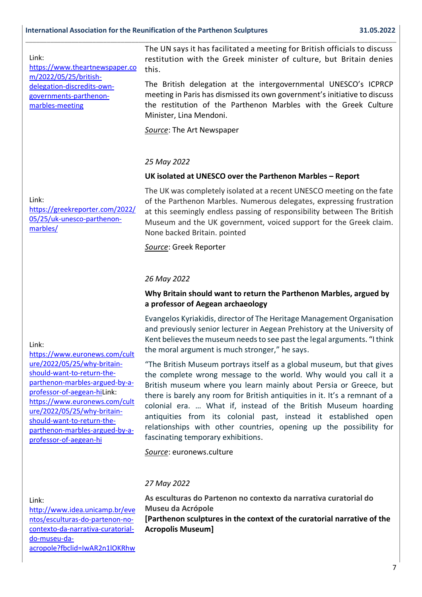#### Link:

[https://www.theartnewspaper.co](https://nam12.safelinks.protection.outlook.com/?url=https%3A%2F%2Fwww.theartnewspaper.com%2F2022%2F05%2F25%2Fbritish-delegation-discredits-own-governments-parthenon-marbles-meeting&data=05%7C01%7C%7C99753fcff6054d6a898a08da3ee74c88%7C84df9e7fe9f640afb435aaaaaaaaaaaa%7C1%7C0%7C637891460374372930%7CUnknown%7CTWFpbGZsb3d8eyJWIjoiMC4wLjAwMDAiLCJQIjoiV2luMzIiLCJBTiI6Ik1haWwiLCJXVCI6Mn0%3D%7C3000%7C%7C%7C&sdata=yXqmJbwLXNDtnclV33a%2F0beQqlrAEc55N6VxKJ7b978%3D&reserved=0) [m/2022/05/25/british](https://nam12.safelinks.protection.outlook.com/?url=https%3A%2F%2Fwww.theartnewspaper.com%2F2022%2F05%2F25%2Fbritish-delegation-discredits-own-governments-parthenon-marbles-meeting&data=05%7C01%7C%7C99753fcff6054d6a898a08da3ee74c88%7C84df9e7fe9f640afb435aaaaaaaaaaaa%7C1%7C0%7C637891460374372930%7CUnknown%7CTWFpbGZsb3d8eyJWIjoiMC4wLjAwMDAiLCJQIjoiV2luMzIiLCJBTiI6Ik1haWwiLCJXVCI6Mn0%3D%7C3000%7C%7C%7C&sdata=yXqmJbwLXNDtnclV33a%2F0beQqlrAEc55N6VxKJ7b978%3D&reserved=0)[delegation-discredits-own](https://nam12.safelinks.protection.outlook.com/?url=https%3A%2F%2Fwww.theartnewspaper.com%2F2022%2F05%2F25%2Fbritish-delegation-discredits-own-governments-parthenon-marbles-meeting&data=05%7C01%7C%7C99753fcff6054d6a898a08da3ee74c88%7C84df9e7fe9f640afb435aaaaaaaaaaaa%7C1%7C0%7C637891460374372930%7CUnknown%7CTWFpbGZsb3d8eyJWIjoiMC4wLjAwMDAiLCJQIjoiV2luMzIiLCJBTiI6Ik1haWwiLCJXVCI6Mn0%3D%7C3000%7C%7C%7C&sdata=yXqmJbwLXNDtnclV33a%2F0beQqlrAEc55N6VxKJ7b978%3D&reserved=0)[governments-parthenon](https://nam12.safelinks.protection.outlook.com/?url=https%3A%2F%2Fwww.theartnewspaper.com%2F2022%2F05%2F25%2Fbritish-delegation-discredits-own-governments-parthenon-marbles-meeting&data=05%7C01%7C%7C99753fcff6054d6a898a08da3ee74c88%7C84df9e7fe9f640afb435aaaaaaaaaaaa%7C1%7C0%7C637891460374372930%7CUnknown%7CTWFpbGZsb3d8eyJWIjoiMC4wLjAwMDAiLCJQIjoiV2luMzIiLCJBTiI6Ik1haWwiLCJXVCI6Mn0%3D%7C3000%7C%7C%7C&sdata=yXqmJbwLXNDtnclV33a%2F0beQqlrAEc55N6VxKJ7b978%3D&reserved=0)[marbles-meeting](https://nam12.safelinks.protection.outlook.com/?url=https%3A%2F%2Fwww.theartnewspaper.com%2F2022%2F05%2F25%2Fbritish-delegation-discredits-own-governments-parthenon-marbles-meeting&data=05%7C01%7C%7C99753fcff6054d6a898a08da3ee74c88%7C84df9e7fe9f640afb435aaaaaaaaaaaa%7C1%7C0%7C637891460374372930%7CUnknown%7CTWFpbGZsb3d8eyJWIjoiMC4wLjAwMDAiLCJQIjoiV2luMzIiLCJBTiI6Ik1haWwiLCJXVCI6Mn0%3D%7C3000%7C%7C%7C&sdata=yXqmJbwLXNDtnclV33a%2F0beQqlrAEc55N6VxKJ7b978%3D&reserved=0)

The UN says it has facilitated a meeting for British officials to discuss restitution with the Greek minister of culture, but Britain denies this.

The British delegation at the intergovernmental UNESCO's ICPRCP meeting in Paris has dismissed its own government's initiative to discuss the restitution of the Parthenon Marbles with the Greek Culture Minister, Lina Mendoni.

*Source*: The Art Newspaper

**\_\_\_\_\_\_\_\_\_\_\_\_\_\_\_\_\_\_\_\_\_\_\_\_\_\_\_\_\_\_\_\_\_\_\_\_\_\_\_\_\_\_\_\_\_\_\_\_\_\_\_\_\_\_\_\_\_\_\_\_\_\_\_\_\_\_\_\_\_\_\_\_\_\_\_\_\_\_\_\_\_\_\_\_\_\_\_\_\_\_\_\_\_\_\_\_\_\_\_\_\_\_\_\_\_**

#### *25 May 2022*

#### **UK isolated at UNESCO over the Parthenon Marbles – Report**

Link: [https://greekreporter.com/2022/](https://nam12.safelinks.protection.outlook.com/?url=https%3A%2F%2Fgreekreporter.com%2F2022%2F05%2F25%2Fuk-unesco-parthenon-marbles%2F&data=05%7C01%7C%7Cbffadea065f14a8e035108da4155b5a4%7C84df9e7fe9f640afb435aaaaaaaaaaaa%7C1%7C0%7C637894133621664688%7CUnknown%7CTWFpbGZsb3d8eyJWIjoiMC4wLjAwMDAiLCJQIjoiV2luMzIiLCJBTiI6Ik1haWwiLCJXVCI6Mn0%3D%7C3000%7C%7C%7C&sdata=8%2BbMQk6qGBCM0f%2F%2BGZQPOmQjvI28UzXMApRpwnKUNJE%3D&reserved=0) [05/25/uk-unesco-parthenon](https://nam12.safelinks.protection.outlook.com/?url=https%3A%2F%2Fgreekreporter.com%2F2022%2F05%2F25%2Fuk-unesco-parthenon-marbles%2F&data=05%7C01%7C%7Cbffadea065f14a8e035108da4155b5a4%7C84df9e7fe9f640afb435aaaaaaaaaaaa%7C1%7C0%7C637894133621664688%7CUnknown%7CTWFpbGZsb3d8eyJWIjoiMC4wLjAwMDAiLCJQIjoiV2luMzIiLCJBTiI6Ik1haWwiLCJXVCI6Mn0%3D%7C3000%7C%7C%7C&sdata=8%2BbMQk6qGBCM0f%2F%2BGZQPOmQjvI28UzXMApRpwnKUNJE%3D&reserved=0)[marbles/](https://nam12.safelinks.protection.outlook.com/?url=https%3A%2F%2Fgreekreporter.com%2F2022%2F05%2F25%2Fuk-unesco-parthenon-marbles%2F&data=05%7C01%7C%7Cbffadea065f14a8e035108da4155b5a4%7C84df9e7fe9f640afb435aaaaaaaaaaaa%7C1%7C0%7C637894133621664688%7CUnknown%7CTWFpbGZsb3d8eyJWIjoiMC4wLjAwMDAiLCJQIjoiV2luMzIiLCJBTiI6Ik1haWwiLCJXVCI6Mn0%3D%7C3000%7C%7C%7C&sdata=8%2BbMQk6qGBCM0f%2F%2BGZQPOmQjvI28UzXMApRpwnKUNJE%3D&reserved=0)

The UK was completely isolated at a recent UNESCO meeting on the fate of the Parthenon Marbles. Numerous delegates, expressing frustration at this seemingly endless passing of responsibility between The British Museum and the UK government, voiced support for the Greek claim. None backed Britain. pointed

*Source*: Greek Reporter

#### *26 May 2022*

#### **Why Britain should want to return the Parthenon Marbles, argued by a professor of Aegean archaeology**

Evangelos Kyriakidis, director of The Heritage Management Organisation and previously senior lecturer in Aegean Prehistory at the University of Kent believes the museum needs to see past the legal arguments. "I think the moral argument is much stronger," he says.

"The British Museum portrays itself as a global museum, but that gives the complete wrong message to the world. Why would you call it a British museum where you learn mainly about Persia or Greece, but there is barely any room for British antiquities in it. It's a remnant of a colonial era. … What if, instead of the British Museum hoarding antiquities from its colonial past, instead it established open relationships with other countries, opening up the possibility for fascinating temporary exhibitions.

*Source*: euronews.culture

#### *27 May 2022*

Link:

[http://www.idea.unicamp.br/eve](https://nam12.safelinks.protection.outlook.com/?url=http%3A%2F%2Fwww.idea.unicamp.br%2Feventos%2Fesculturas-do-partenon-no-contexto-da-narrativa-curatorial-do-museu-da-acropole%3Ffbclid%3DIwAR2n1lOKRhw04DPWZ19qCIXy4KaafhZuw4WlQCnLP9FsXDKIFEXm74RfezY&data=05%7C01%7C%7Cf9972cebce404014255908da34caaab1%7C84df9e7fe9f640afb435aaaaaaaaaaaa%7C1%7C0%7C637880342299420409%7CUnknown%7CTWFpbGZsb3d8eyJWIjoiMC4wLjAwMDAiLCJQIjoiV2luMzIiLCJBTiI6Ik1haWwiLCJXVCI6Mn0%3D%7C3000%7C%7C%7C&sdata=25mdILYpzvKWTaQ56LOjroc1q24kE3xuElQX2dhEL1o%3D&reserved=0) [ntos/esculturas-do-partenon-no](https://nam12.safelinks.protection.outlook.com/?url=http%3A%2F%2Fwww.idea.unicamp.br%2Feventos%2Fesculturas-do-partenon-no-contexto-da-narrativa-curatorial-do-museu-da-acropole%3Ffbclid%3DIwAR2n1lOKRhw04DPWZ19qCIXy4KaafhZuw4WlQCnLP9FsXDKIFEXm74RfezY&data=05%7C01%7C%7Cf9972cebce404014255908da34caaab1%7C84df9e7fe9f640afb435aaaaaaaaaaaa%7C1%7C0%7C637880342299420409%7CUnknown%7CTWFpbGZsb3d8eyJWIjoiMC4wLjAwMDAiLCJQIjoiV2luMzIiLCJBTiI6Ik1haWwiLCJXVCI6Mn0%3D%7C3000%7C%7C%7C&sdata=25mdILYpzvKWTaQ56LOjroc1q24kE3xuElQX2dhEL1o%3D&reserved=0)[contexto-da-narrativa-curatorial](https://nam12.safelinks.protection.outlook.com/?url=http%3A%2F%2Fwww.idea.unicamp.br%2Feventos%2Fesculturas-do-partenon-no-contexto-da-narrativa-curatorial-do-museu-da-acropole%3Ffbclid%3DIwAR2n1lOKRhw04DPWZ19qCIXy4KaafhZuw4WlQCnLP9FsXDKIFEXm74RfezY&data=05%7C01%7C%7Cf9972cebce404014255908da34caaab1%7C84df9e7fe9f640afb435aaaaaaaaaaaa%7C1%7C0%7C637880342299420409%7CUnknown%7CTWFpbGZsb3d8eyJWIjoiMC4wLjAwMDAiLCJQIjoiV2luMzIiLCJBTiI6Ik1haWwiLCJXVCI6Mn0%3D%7C3000%7C%7C%7C&sdata=25mdILYpzvKWTaQ56LOjroc1q24kE3xuElQX2dhEL1o%3D&reserved=0)[do-museu-da](https://nam12.safelinks.protection.outlook.com/?url=http%3A%2F%2Fwww.idea.unicamp.br%2Feventos%2Fesculturas-do-partenon-no-contexto-da-narrativa-curatorial-do-museu-da-acropole%3Ffbclid%3DIwAR2n1lOKRhw04DPWZ19qCIXy4KaafhZuw4WlQCnLP9FsXDKIFEXm74RfezY&data=05%7C01%7C%7Cf9972cebce404014255908da34caaab1%7C84df9e7fe9f640afb435aaaaaaaaaaaa%7C1%7C0%7C637880342299420409%7CUnknown%7CTWFpbGZsb3d8eyJWIjoiMC4wLjAwMDAiLCJQIjoiV2luMzIiLCJBTiI6Ik1haWwiLCJXVCI6Mn0%3D%7C3000%7C%7C%7C&sdata=25mdILYpzvKWTaQ56LOjroc1q24kE3xuElQX2dhEL1o%3D&reserved=0)[acropole?fbclid=IwAR2n1lOKRhw](https://nam12.safelinks.protection.outlook.com/?url=http%3A%2F%2Fwww.idea.unicamp.br%2Feventos%2Fesculturas-do-partenon-no-contexto-da-narrativa-curatorial-do-museu-da-acropole%3Ffbclid%3DIwAR2n1lOKRhw04DPWZ19qCIXy4KaafhZuw4WlQCnLP9FsXDKIFEXm74RfezY&data=05%7C01%7C%7Cf9972cebce404014255908da34caaab1%7C84df9e7fe9f640afb435aaaaaaaaaaaa%7C1%7C0%7C637880342299420409%7CUnknown%7CTWFpbGZsb3d8eyJWIjoiMC4wLjAwMDAiLCJQIjoiV2luMzIiLCJBTiI6Ik1haWwiLCJXVCI6Mn0%3D%7C3000%7C%7C%7C&sdata=25mdILYpzvKWTaQ56LOjroc1q24kE3xuElQX2dhEL1o%3D&reserved=0)

**As esculturas do Partenon no contexto da narrativa curatorial do Museu da Acrópole [Parthenon sculptures in the context of the curatorial narrative of the Acropolis Museum]**

#### Link:

[https://www.euronews.com/cult](https://nam12.safelinks.protection.outlook.com/?url=https%3A%2F%2Fwww.euronews.com%2Fculture%2F2022%2F05%2F25%2Fwhy-britain-should-want-to-return-the-parthenon-marbles-argued-by-a-professor-of-aegean-hi&data=05%7C01%7C%7C96d3e3ba65254242f16208da407a2dbf%7C84df9e7fe9f640afb435aaaaaaaaaaaa%7C1%7C0%7C637893190739059110%7CUnknown%7CTWFpbGZsb3d8eyJWIjoiMC4wLjAwMDAiLCJQIjoiV2luMzIiLCJBTiI6Ik1haWwiLCJXVCI6Mn0%3D%7C3000%7C%7C%7C&sdata=sLbvgve8AegG3PMcxdGuNs3aVZLNM6%2BZI9Mno78ZZd8%3D&reserved=0) [ure/2022/05/25/why-britain](https://nam12.safelinks.protection.outlook.com/?url=https%3A%2F%2Fwww.euronews.com%2Fculture%2F2022%2F05%2F25%2Fwhy-britain-should-want-to-return-the-parthenon-marbles-argued-by-a-professor-of-aegean-hi&data=05%7C01%7C%7C96d3e3ba65254242f16208da407a2dbf%7C84df9e7fe9f640afb435aaaaaaaaaaaa%7C1%7C0%7C637893190739059110%7CUnknown%7CTWFpbGZsb3d8eyJWIjoiMC4wLjAwMDAiLCJQIjoiV2luMzIiLCJBTiI6Ik1haWwiLCJXVCI6Mn0%3D%7C3000%7C%7C%7C&sdata=sLbvgve8AegG3PMcxdGuNs3aVZLNM6%2BZI9Mno78ZZd8%3D&reserved=0)[should-want-to-return-the](https://nam12.safelinks.protection.outlook.com/?url=https%3A%2F%2Fwww.euronews.com%2Fculture%2F2022%2F05%2F25%2Fwhy-britain-should-want-to-return-the-parthenon-marbles-argued-by-a-professor-of-aegean-hi&data=05%7C01%7C%7C96d3e3ba65254242f16208da407a2dbf%7C84df9e7fe9f640afb435aaaaaaaaaaaa%7C1%7C0%7C637893190739059110%7CUnknown%7CTWFpbGZsb3d8eyJWIjoiMC4wLjAwMDAiLCJQIjoiV2luMzIiLCJBTiI6Ik1haWwiLCJXVCI6Mn0%3D%7C3000%7C%7C%7C&sdata=sLbvgve8AegG3PMcxdGuNs3aVZLNM6%2BZI9Mno78ZZd8%3D&reserved=0)[parthenon-marbles-argued-by-a](https://nam12.safelinks.protection.outlook.com/?url=https%3A%2F%2Fwww.euronews.com%2Fculture%2F2022%2F05%2F25%2Fwhy-britain-should-want-to-return-the-parthenon-marbles-argued-by-a-professor-of-aegean-hi&data=05%7C01%7C%7C96d3e3ba65254242f16208da407a2dbf%7C84df9e7fe9f640afb435aaaaaaaaaaaa%7C1%7C0%7C637893190739059110%7CUnknown%7CTWFpbGZsb3d8eyJWIjoiMC4wLjAwMDAiLCJQIjoiV2luMzIiLCJBTiI6Ik1haWwiLCJXVCI6Mn0%3D%7C3000%7C%7C%7C&sdata=sLbvgve8AegG3PMcxdGuNs3aVZLNM6%2BZI9Mno78ZZd8%3D&reserved=0)[professor-of-aegean-hiL](https://nam12.safelinks.protection.outlook.com/?url=https%3A%2F%2Fwww.euronews.com%2Fculture%2F2022%2F05%2F25%2Fwhy-britain-should-want-to-return-the-parthenon-marbles-argued-by-a-professor-of-aegean-hi&data=05%7C01%7C%7C96d3e3ba65254242f16208da407a2dbf%7C84df9e7fe9f640afb435aaaaaaaaaaaa%7C1%7C0%7C637893190739059110%7CUnknown%7CTWFpbGZsb3d8eyJWIjoiMC4wLjAwMDAiLCJQIjoiV2luMzIiLCJBTiI6Ik1haWwiLCJXVCI6Mn0%3D%7C3000%7C%7C%7C&sdata=sLbvgve8AegG3PMcxdGuNs3aVZLNM6%2BZI9Mno78ZZd8%3D&reserved=0)ink: [https://www.euronews.com/cult](https://nam12.safelinks.protection.outlook.com/?url=https%3A%2F%2Fwww.euronews.com%2Fculture%2F2022%2F05%2F25%2Fwhy-britain-should-want-to-return-the-parthenon-marbles-argued-by-a-professor-of-aegean-hi&data=05%7C01%7C%7C96d3e3ba65254242f16208da407a2dbf%7C84df9e7fe9f640afb435aaaaaaaaaaaa%7C1%7C0%7C637893190739059110%7CUnknown%7CTWFpbGZsb3d8eyJWIjoiMC4wLjAwMDAiLCJQIjoiV2luMzIiLCJBTiI6Ik1haWwiLCJXVCI6Mn0%3D%7C3000%7C%7C%7C&sdata=sLbvgve8AegG3PMcxdGuNs3aVZLNM6%2BZI9Mno78ZZd8%3D&reserved=0) [ure/2022/05/25/why-britain](https://nam12.safelinks.protection.outlook.com/?url=https%3A%2F%2Fwww.euronews.com%2Fculture%2F2022%2F05%2F25%2Fwhy-britain-should-want-to-return-the-parthenon-marbles-argued-by-a-professor-of-aegean-hi&data=05%7C01%7C%7C96d3e3ba65254242f16208da407a2dbf%7C84df9e7fe9f640afb435aaaaaaaaaaaa%7C1%7C0%7C637893190739059110%7CUnknown%7CTWFpbGZsb3d8eyJWIjoiMC4wLjAwMDAiLCJQIjoiV2luMzIiLCJBTiI6Ik1haWwiLCJXVCI6Mn0%3D%7C3000%7C%7C%7C&sdata=sLbvgve8AegG3PMcxdGuNs3aVZLNM6%2BZI9Mno78ZZd8%3D&reserved=0)[should-want-to-return-the](https://nam12.safelinks.protection.outlook.com/?url=https%3A%2F%2Fwww.euronews.com%2Fculture%2F2022%2F05%2F25%2Fwhy-britain-should-want-to-return-the-parthenon-marbles-argued-by-a-professor-of-aegean-hi&data=05%7C01%7C%7C96d3e3ba65254242f16208da407a2dbf%7C84df9e7fe9f640afb435aaaaaaaaaaaa%7C1%7C0%7C637893190739059110%7CUnknown%7CTWFpbGZsb3d8eyJWIjoiMC4wLjAwMDAiLCJQIjoiV2luMzIiLCJBTiI6Ik1haWwiLCJXVCI6Mn0%3D%7C3000%7C%7C%7C&sdata=sLbvgve8AegG3PMcxdGuNs3aVZLNM6%2BZI9Mno78ZZd8%3D&reserved=0)[parthenon-marbles-argued-by-a](https://nam12.safelinks.protection.outlook.com/?url=https%3A%2F%2Fwww.euronews.com%2Fculture%2F2022%2F05%2F25%2Fwhy-britain-should-want-to-return-the-parthenon-marbles-argued-by-a-professor-of-aegean-hi&data=05%7C01%7C%7C96d3e3ba65254242f16208da407a2dbf%7C84df9e7fe9f640afb435aaaaaaaaaaaa%7C1%7C0%7C637893190739059110%7CUnknown%7CTWFpbGZsb3d8eyJWIjoiMC4wLjAwMDAiLCJQIjoiV2luMzIiLCJBTiI6Ik1haWwiLCJXVCI6Mn0%3D%7C3000%7C%7C%7C&sdata=sLbvgve8AegG3PMcxdGuNs3aVZLNM6%2BZI9Mno78ZZd8%3D&reserved=0)[professor-of-aegean-hi](https://nam12.safelinks.protection.outlook.com/?url=https%3A%2F%2Fwww.euronews.com%2Fculture%2F2022%2F05%2F25%2Fwhy-britain-should-want-to-return-the-parthenon-marbles-argued-by-a-professor-of-aegean-hi&data=05%7C01%7C%7C96d3e3ba65254242f16208da407a2dbf%7C84df9e7fe9f640afb435aaaaaaaaaaaa%7C1%7C0%7C637893190739059110%7CUnknown%7CTWFpbGZsb3d8eyJWIjoiMC4wLjAwMDAiLCJQIjoiV2luMzIiLCJBTiI6Ik1haWwiLCJXVCI6Mn0%3D%7C3000%7C%7C%7C&sdata=sLbvgve8AegG3PMcxdGuNs3aVZLNM6%2BZI9Mno78ZZd8%3D&reserved=0)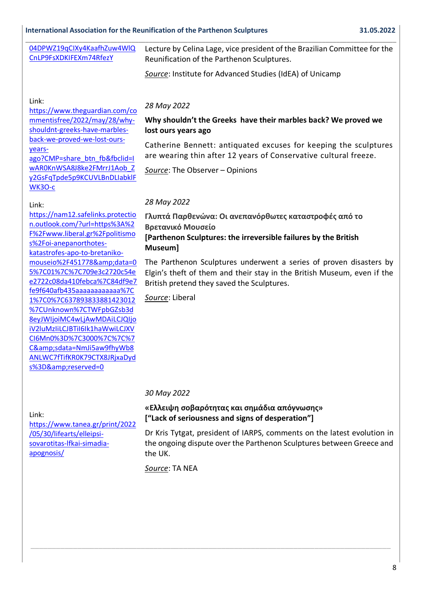#### **International Association for the Reunification of the Parthenon Sculptures 31.05.2022**

| 04DPWZ19qCIXy4KaafhZuw4WIQ<br>CnLP9FsXDKIFEXm74RfezY | Lecture by Celina Lage, vice president of the Brazilian Committee for the<br>Reunification of the Parthenon Sculptures.<br>Source: Institute for Advanced Studies (IdEA) of Unicamp |
|------------------------------------------------------|-------------------------------------------------------------------------------------------------------------------------------------------------------------------------------------|
|                                                      |                                                                                                                                                                                     |

#### Link:

[https://www.theguardian.com/co](https://nam12.safelinks.protection.outlook.com/?url=https%3A%2F%2Fwww.theguardian.com%2Fcommentisfree%2F2022%2Fmay%2F28%2Fwhy-shouldnt-greeks-have-marbles-back-we-proved-we-lost-ours-years-ago%3FCMP%3Dshare_btn_fb%26fbclid%3DIwAR0KnWSA8J8ke2FMrrJ1Aob_Zy2GsFqTpde5p9KCUVLBnDLIabklFWK3O-c&data=05%7C01%7C%7Ccd90c573433d4bcbffbb08da41552867%7C84df9e7fe9f640afb435aaaaaaaaaaaa%7C1%7C0%7C637894131248456679%7CUnknown%7CTWFpbGZsb3d8eyJWIjoiMC4wLjAwMDAiLCJQIjoiV2luMzIiLCJBTiI6Ik1haWwiLCJXVCI6Mn0%3D%7C3000%7C%7C%7C&sdata=OOjHyWSS2Kp5dlda%2BljfBuas4QBRNbInZNNx3q737S4%3D&reserved=0) [mmentisfree/2022/may/28/why](https://nam12.safelinks.protection.outlook.com/?url=https%3A%2F%2Fwww.theguardian.com%2Fcommentisfree%2F2022%2Fmay%2F28%2Fwhy-shouldnt-greeks-have-marbles-back-we-proved-we-lost-ours-years-ago%3FCMP%3Dshare_btn_fb%26fbclid%3DIwAR0KnWSA8J8ke2FMrrJ1Aob_Zy2GsFqTpde5p9KCUVLBnDLIabklFWK3O-c&data=05%7C01%7C%7Ccd90c573433d4bcbffbb08da41552867%7C84df9e7fe9f640afb435aaaaaaaaaaaa%7C1%7C0%7C637894131248456679%7CUnknown%7CTWFpbGZsb3d8eyJWIjoiMC4wLjAwMDAiLCJQIjoiV2luMzIiLCJBTiI6Ik1haWwiLCJXVCI6Mn0%3D%7C3000%7C%7C%7C&sdata=OOjHyWSS2Kp5dlda%2BljfBuas4QBRNbInZNNx3q737S4%3D&reserved=0)[shouldnt-greeks-have-marbles](https://nam12.safelinks.protection.outlook.com/?url=https%3A%2F%2Fwww.theguardian.com%2Fcommentisfree%2F2022%2Fmay%2F28%2Fwhy-shouldnt-greeks-have-marbles-back-we-proved-we-lost-ours-years-ago%3FCMP%3Dshare_btn_fb%26fbclid%3DIwAR0KnWSA8J8ke2FMrrJ1Aob_Zy2GsFqTpde5p9KCUVLBnDLIabklFWK3O-c&data=05%7C01%7C%7Ccd90c573433d4bcbffbb08da41552867%7C84df9e7fe9f640afb435aaaaaaaaaaaa%7C1%7C0%7C637894131248456679%7CUnknown%7CTWFpbGZsb3d8eyJWIjoiMC4wLjAwMDAiLCJQIjoiV2luMzIiLCJBTiI6Ik1haWwiLCJXVCI6Mn0%3D%7C3000%7C%7C%7C&sdata=OOjHyWSS2Kp5dlda%2BljfBuas4QBRNbInZNNx3q737S4%3D&reserved=0)[back-we-proved-we-lost-ours](https://nam12.safelinks.protection.outlook.com/?url=https%3A%2F%2Fwww.theguardian.com%2Fcommentisfree%2F2022%2Fmay%2F28%2Fwhy-shouldnt-greeks-have-marbles-back-we-proved-we-lost-ours-years-ago%3FCMP%3Dshare_btn_fb%26fbclid%3DIwAR0KnWSA8J8ke2FMrrJ1Aob_Zy2GsFqTpde5p9KCUVLBnDLIabklFWK3O-c&data=05%7C01%7C%7Ccd90c573433d4bcbffbb08da41552867%7C84df9e7fe9f640afb435aaaaaaaaaaaa%7C1%7C0%7C637894131248456679%7CUnknown%7CTWFpbGZsb3d8eyJWIjoiMC4wLjAwMDAiLCJQIjoiV2luMzIiLCJBTiI6Ik1haWwiLCJXVCI6Mn0%3D%7C3000%7C%7C%7C&sdata=OOjHyWSS2Kp5dlda%2BljfBuas4QBRNbInZNNx3q737S4%3D&reserved=0)[years](https://nam12.safelinks.protection.outlook.com/?url=https%3A%2F%2Fwww.theguardian.com%2Fcommentisfree%2F2022%2Fmay%2F28%2Fwhy-shouldnt-greeks-have-marbles-back-we-proved-we-lost-ours-years-ago%3FCMP%3Dshare_btn_fb%26fbclid%3DIwAR0KnWSA8J8ke2FMrrJ1Aob_Zy2GsFqTpde5p9KCUVLBnDLIabklFWK3O-c&data=05%7C01%7C%7Ccd90c573433d4bcbffbb08da41552867%7C84df9e7fe9f640afb435aaaaaaaaaaaa%7C1%7C0%7C637894131248456679%7CUnknown%7CTWFpbGZsb3d8eyJWIjoiMC4wLjAwMDAiLCJQIjoiV2luMzIiLCJBTiI6Ik1haWwiLCJXVCI6Mn0%3D%7C3000%7C%7C%7C&sdata=OOjHyWSS2Kp5dlda%2BljfBuas4QBRNbInZNNx3q737S4%3D&reserved=0)[ago?CMP=share\\_btn\\_fb&fbclid=I](https://nam12.safelinks.protection.outlook.com/?url=https%3A%2F%2Fwww.theguardian.com%2Fcommentisfree%2F2022%2Fmay%2F28%2Fwhy-shouldnt-greeks-have-marbles-back-we-proved-we-lost-ours-years-ago%3FCMP%3Dshare_btn_fb%26fbclid%3DIwAR0KnWSA8J8ke2FMrrJ1Aob_Zy2GsFqTpde5p9KCUVLBnDLIabklFWK3O-c&data=05%7C01%7C%7Ccd90c573433d4bcbffbb08da41552867%7C84df9e7fe9f640afb435aaaaaaaaaaaa%7C1%7C0%7C637894131248456679%7CUnknown%7CTWFpbGZsb3d8eyJWIjoiMC4wLjAwMDAiLCJQIjoiV2luMzIiLCJBTiI6Ik1haWwiLCJXVCI6Mn0%3D%7C3000%7C%7C%7C&sdata=OOjHyWSS2Kp5dlda%2BljfBuas4QBRNbInZNNx3q737S4%3D&reserved=0) [wAR0KnWSA8J8ke2FMrrJ1Aob\\_Z](https://nam12.safelinks.protection.outlook.com/?url=https%3A%2F%2Fwww.theguardian.com%2Fcommentisfree%2F2022%2Fmay%2F28%2Fwhy-shouldnt-greeks-have-marbles-back-we-proved-we-lost-ours-years-ago%3FCMP%3Dshare_btn_fb%26fbclid%3DIwAR0KnWSA8J8ke2FMrrJ1Aob_Zy2GsFqTpde5p9KCUVLBnDLIabklFWK3O-c&data=05%7C01%7C%7Ccd90c573433d4bcbffbb08da41552867%7C84df9e7fe9f640afb435aaaaaaaaaaaa%7C1%7C0%7C637894131248456679%7CUnknown%7CTWFpbGZsb3d8eyJWIjoiMC4wLjAwMDAiLCJQIjoiV2luMzIiLCJBTiI6Ik1haWwiLCJXVCI6Mn0%3D%7C3000%7C%7C%7C&sdata=OOjHyWSS2Kp5dlda%2BljfBuas4QBRNbInZNNx3q737S4%3D&reserved=0) [y2GsFqTpde5p9KCUVLBnDLIabklF](https://nam12.safelinks.protection.outlook.com/?url=https%3A%2F%2Fwww.theguardian.com%2Fcommentisfree%2F2022%2Fmay%2F28%2Fwhy-shouldnt-greeks-have-marbles-back-we-proved-we-lost-ours-years-ago%3FCMP%3Dshare_btn_fb%26fbclid%3DIwAR0KnWSA8J8ke2FMrrJ1Aob_Zy2GsFqTpde5p9KCUVLBnDLIabklFWK3O-c&data=05%7C01%7C%7Ccd90c573433d4bcbffbb08da41552867%7C84df9e7fe9f640afb435aaaaaaaaaaaa%7C1%7C0%7C637894131248456679%7CUnknown%7CTWFpbGZsb3d8eyJWIjoiMC4wLjAwMDAiLCJQIjoiV2luMzIiLCJBTiI6Ik1haWwiLCJXVCI6Mn0%3D%7C3000%7C%7C%7C&sdata=OOjHyWSS2Kp5dlda%2BljfBuas4QBRNbInZNNx3q737S4%3D&reserved=0) [WK3O-c](https://nam12.safelinks.protection.outlook.com/?url=https%3A%2F%2Fwww.theguardian.com%2Fcommentisfree%2F2022%2Fmay%2F28%2Fwhy-shouldnt-greeks-have-marbles-back-we-proved-we-lost-ours-years-ago%3FCMP%3Dshare_btn_fb%26fbclid%3DIwAR0KnWSA8J8ke2FMrrJ1Aob_Zy2GsFqTpde5p9KCUVLBnDLIabklFWK3O-c&data=05%7C01%7C%7Ccd90c573433d4bcbffbb08da41552867%7C84df9e7fe9f640afb435aaaaaaaaaaaa%7C1%7C0%7C637894131248456679%7CUnknown%7CTWFpbGZsb3d8eyJWIjoiMC4wLjAwMDAiLCJQIjoiV2luMzIiLCJBTiI6Ik1haWwiLCJXVCI6Mn0%3D%7C3000%7C%7C%7C&sdata=OOjHyWSS2Kp5dlda%2BljfBuas4QBRNbInZNNx3q737S4%3D&reserved=0)

#### Link:

[https://nam12.safelinks.protectio](https://nam12.safelinks.protection.outlook.com/?url=https%3A%2F%2Fwww.liberal.gr%2Fpolitismos%2Foi-anepanorthotes-katastrofes-apo-to-bretaniko-mouseio%2F451778&data=05%7C01%7C%7C709e3c2720c54ee2722c08da410febca%7C84df9e7fe9f640afb435aaaaaaaaaaaa%7C1%7C0%7C637893833881423012%7CUnknown%7CTWFpbGZsb3d8eyJWIjoiMC4wLjAwMDAiLCJQIjoiV2luMzIiLCJBTiI6Ik1haWwiLCJXVCI6Mn0%3D%7C3000%7C%7C%7C&sdata=NmJi5aw9fhyWb8ANLWC7fTifKR0K79CTX8JRjxaDyds%3D&reserved=0) [n.outlook.com/?url=https%3A%2](https://nam12.safelinks.protection.outlook.com/?url=https%3A%2F%2Fwww.liberal.gr%2Fpolitismos%2Foi-anepanorthotes-katastrofes-apo-to-bretaniko-mouseio%2F451778&data=05%7C01%7C%7C709e3c2720c54ee2722c08da410febca%7C84df9e7fe9f640afb435aaaaaaaaaaaa%7C1%7C0%7C637893833881423012%7CUnknown%7CTWFpbGZsb3d8eyJWIjoiMC4wLjAwMDAiLCJQIjoiV2luMzIiLCJBTiI6Ik1haWwiLCJXVCI6Mn0%3D%7C3000%7C%7C%7C&sdata=NmJi5aw9fhyWb8ANLWC7fTifKR0K79CTX8JRjxaDyds%3D&reserved=0) [F%2Fwww.liberal.gr%2Fpolitismo](https://nam12.safelinks.protection.outlook.com/?url=https%3A%2F%2Fwww.liberal.gr%2Fpolitismos%2Foi-anepanorthotes-katastrofes-apo-to-bretaniko-mouseio%2F451778&data=05%7C01%7C%7C709e3c2720c54ee2722c08da410febca%7C84df9e7fe9f640afb435aaaaaaaaaaaa%7C1%7C0%7C637893833881423012%7CUnknown%7CTWFpbGZsb3d8eyJWIjoiMC4wLjAwMDAiLCJQIjoiV2luMzIiLCJBTiI6Ik1haWwiLCJXVCI6Mn0%3D%7C3000%7C%7C%7C&sdata=NmJi5aw9fhyWb8ANLWC7fTifKR0K79CTX8JRjxaDyds%3D&reserved=0) [s%2Foi-anepanorthotes](https://nam12.safelinks.protection.outlook.com/?url=https%3A%2F%2Fwww.liberal.gr%2Fpolitismos%2Foi-anepanorthotes-katastrofes-apo-to-bretaniko-mouseio%2F451778&data=05%7C01%7C%7C709e3c2720c54ee2722c08da410febca%7C84df9e7fe9f640afb435aaaaaaaaaaaa%7C1%7C0%7C637893833881423012%7CUnknown%7CTWFpbGZsb3d8eyJWIjoiMC4wLjAwMDAiLCJQIjoiV2luMzIiLCJBTiI6Ik1haWwiLCJXVCI6Mn0%3D%7C3000%7C%7C%7C&sdata=NmJi5aw9fhyWb8ANLWC7fTifKR0K79CTX8JRjxaDyds%3D&reserved=0)[katastrofes-apo-to-bretaniko](https://nam12.safelinks.protection.outlook.com/?url=https%3A%2F%2Fwww.liberal.gr%2Fpolitismos%2Foi-anepanorthotes-katastrofes-apo-to-bretaniko-mouseio%2F451778&data=05%7C01%7C%7C709e3c2720c54ee2722c08da410febca%7C84df9e7fe9f640afb435aaaaaaaaaaaa%7C1%7C0%7C637893833881423012%7CUnknown%7CTWFpbGZsb3d8eyJWIjoiMC4wLjAwMDAiLCJQIjoiV2luMzIiLCJBTiI6Ik1haWwiLCJXVCI6Mn0%3D%7C3000%7C%7C%7C&sdata=NmJi5aw9fhyWb8ANLWC7fTifKR0K79CTX8JRjxaDyds%3D&reserved=0)[mouseio%2F451778&data=0](https://nam12.safelinks.protection.outlook.com/?url=https%3A%2F%2Fwww.liberal.gr%2Fpolitismos%2Foi-anepanorthotes-katastrofes-apo-to-bretaniko-mouseio%2F451778&data=05%7C01%7C%7C709e3c2720c54ee2722c08da410febca%7C84df9e7fe9f640afb435aaaaaaaaaaaa%7C1%7C0%7C637893833881423012%7CUnknown%7CTWFpbGZsb3d8eyJWIjoiMC4wLjAwMDAiLCJQIjoiV2luMzIiLCJBTiI6Ik1haWwiLCJXVCI6Mn0%3D%7C3000%7C%7C%7C&sdata=NmJi5aw9fhyWb8ANLWC7fTifKR0K79CTX8JRjxaDyds%3D&reserved=0) [5%7C01%7C%7C709e3c2720c54e](https://nam12.safelinks.protection.outlook.com/?url=https%3A%2F%2Fwww.liberal.gr%2Fpolitismos%2Foi-anepanorthotes-katastrofes-apo-to-bretaniko-mouseio%2F451778&data=05%7C01%7C%7C709e3c2720c54ee2722c08da410febca%7C84df9e7fe9f640afb435aaaaaaaaaaaa%7C1%7C0%7C637893833881423012%7CUnknown%7CTWFpbGZsb3d8eyJWIjoiMC4wLjAwMDAiLCJQIjoiV2luMzIiLCJBTiI6Ik1haWwiLCJXVCI6Mn0%3D%7C3000%7C%7C%7C&sdata=NmJi5aw9fhyWb8ANLWC7fTifKR0K79CTX8JRjxaDyds%3D&reserved=0) [e2722c08da410febca%7C84df9e7](https://nam12.safelinks.protection.outlook.com/?url=https%3A%2F%2Fwww.liberal.gr%2Fpolitismos%2Foi-anepanorthotes-katastrofes-apo-to-bretaniko-mouseio%2F451778&data=05%7C01%7C%7C709e3c2720c54ee2722c08da410febca%7C84df9e7fe9f640afb435aaaaaaaaaaaa%7C1%7C0%7C637893833881423012%7CUnknown%7CTWFpbGZsb3d8eyJWIjoiMC4wLjAwMDAiLCJQIjoiV2luMzIiLCJBTiI6Ik1haWwiLCJXVCI6Mn0%3D%7C3000%7C%7C%7C&sdata=NmJi5aw9fhyWb8ANLWC7fTifKR0K79CTX8JRjxaDyds%3D&reserved=0) [fe9f640afb435aaaaaaaaaaaa%7C](https://nam12.safelinks.protection.outlook.com/?url=https%3A%2F%2Fwww.liberal.gr%2Fpolitismos%2Foi-anepanorthotes-katastrofes-apo-to-bretaniko-mouseio%2F451778&data=05%7C01%7C%7C709e3c2720c54ee2722c08da410febca%7C84df9e7fe9f640afb435aaaaaaaaaaaa%7C1%7C0%7C637893833881423012%7CUnknown%7CTWFpbGZsb3d8eyJWIjoiMC4wLjAwMDAiLCJQIjoiV2luMzIiLCJBTiI6Ik1haWwiLCJXVCI6Mn0%3D%7C3000%7C%7C%7C&sdata=NmJi5aw9fhyWb8ANLWC7fTifKR0K79CTX8JRjxaDyds%3D&reserved=0) [1%7C0%7C637893833881423012](https://nam12.safelinks.protection.outlook.com/?url=https%3A%2F%2Fwww.liberal.gr%2Fpolitismos%2Foi-anepanorthotes-katastrofes-apo-to-bretaniko-mouseio%2F451778&data=05%7C01%7C%7C709e3c2720c54ee2722c08da410febca%7C84df9e7fe9f640afb435aaaaaaaaaaaa%7C1%7C0%7C637893833881423012%7CUnknown%7CTWFpbGZsb3d8eyJWIjoiMC4wLjAwMDAiLCJQIjoiV2luMzIiLCJBTiI6Ik1haWwiLCJXVCI6Mn0%3D%7C3000%7C%7C%7C&sdata=NmJi5aw9fhyWb8ANLWC7fTifKR0K79CTX8JRjxaDyds%3D&reserved=0) [%7CUnknown%7CTWFpbGZsb3d](https://nam12.safelinks.protection.outlook.com/?url=https%3A%2F%2Fwww.liberal.gr%2Fpolitismos%2Foi-anepanorthotes-katastrofes-apo-to-bretaniko-mouseio%2F451778&data=05%7C01%7C%7C709e3c2720c54ee2722c08da410febca%7C84df9e7fe9f640afb435aaaaaaaaaaaa%7C1%7C0%7C637893833881423012%7CUnknown%7CTWFpbGZsb3d8eyJWIjoiMC4wLjAwMDAiLCJQIjoiV2luMzIiLCJBTiI6Ik1haWwiLCJXVCI6Mn0%3D%7C3000%7C%7C%7C&sdata=NmJi5aw9fhyWb8ANLWC7fTifKR0K79CTX8JRjxaDyds%3D&reserved=0) [8eyJWIjoiMC4wLjAwMDAiLCJQIjo](https://nam12.safelinks.protection.outlook.com/?url=https%3A%2F%2Fwww.liberal.gr%2Fpolitismos%2Foi-anepanorthotes-katastrofes-apo-to-bretaniko-mouseio%2F451778&data=05%7C01%7C%7C709e3c2720c54ee2722c08da410febca%7C84df9e7fe9f640afb435aaaaaaaaaaaa%7C1%7C0%7C637893833881423012%7CUnknown%7CTWFpbGZsb3d8eyJWIjoiMC4wLjAwMDAiLCJQIjoiV2luMzIiLCJBTiI6Ik1haWwiLCJXVCI6Mn0%3D%7C3000%7C%7C%7C&sdata=NmJi5aw9fhyWb8ANLWC7fTifKR0K79CTX8JRjxaDyds%3D&reserved=0) [iV2luMzIiLCJBTiI6Ik1haWwiLCJXV](https://nam12.safelinks.protection.outlook.com/?url=https%3A%2F%2Fwww.liberal.gr%2Fpolitismos%2Foi-anepanorthotes-katastrofes-apo-to-bretaniko-mouseio%2F451778&data=05%7C01%7C%7C709e3c2720c54ee2722c08da410febca%7C84df9e7fe9f640afb435aaaaaaaaaaaa%7C1%7C0%7C637893833881423012%7CUnknown%7CTWFpbGZsb3d8eyJWIjoiMC4wLjAwMDAiLCJQIjoiV2luMzIiLCJBTiI6Ik1haWwiLCJXVCI6Mn0%3D%7C3000%7C%7C%7C&sdata=NmJi5aw9fhyWb8ANLWC7fTifKR0K79CTX8JRjxaDyds%3D&reserved=0) [CI6Mn0%3D%7C3000%7C%7C%7](https://nam12.safelinks.protection.outlook.com/?url=https%3A%2F%2Fwww.liberal.gr%2Fpolitismos%2Foi-anepanorthotes-katastrofes-apo-to-bretaniko-mouseio%2F451778&data=05%7C01%7C%7C709e3c2720c54ee2722c08da410febca%7C84df9e7fe9f640afb435aaaaaaaaaaaa%7C1%7C0%7C637893833881423012%7CUnknown%7CTWFpbGZsb3d8eyJWIjoiMC4wLjAwMDAiLCJQIjoiV2luMzIiLCJBTiI6Ik1haWwiLCJXVCI6Mn0%3D%7C3000%7C%7C%7C&sdata=NmJi5aw9fhyWb8ANLWC7fTifKR0K79CTX8JRjxaDyds%3D&reserved=0) C&amp:sdata=NmJi5aw9fhyWb8 [ANLWC7fTifKR0K79CTX8JRjxaDyd](https://nam12.safelinks.protection.outlook.com/?url=https%3A%2F%2Fwww.liberal.gr%2Fpolitismos%2Foi-anepanorthotes-katastrofes-apo-to-bretaniko-mouseio%2F451778&data=05%7C01%7C%7C709e3c2720c54ee2722c08da410febca%7C84df9e7fe9f640afb435aaaaaaaaaaaa%7C1%7C0%7C637893833881423012%7CUnknown%7CTWFpbGZsb3d8eyJWIjoiMC4wLjAwMDAiLCJQIjoiV2luMzIiLCJBTiI6Ik1haWwiLCJXVCI6Mn0%3D%7C3000%7C%7C%7C&sdata=NmJi5aw9fhyWb8ANLWC7fTifKR0K79CTX8JRjxaDyds%3D&reserved=0) [s%3D&reserved=0](https://nam12.safelinks.protection.outlook.com/?url=https%3A%2F%2Fwww.liberal.gr%2Fpolitismos%2Foi-anepanorthotes-katastrofes-apo-to-bretaniko-mouseio%2F451778&data=05%7C01%7C%7C709e3c2720c54ee2722c08da410febca%7C84df9e7fe9f640afb435aaaaaaaaaaaa%7C1%7C0%7C637893833881423012%7CUnknown%7CTWFpbGZsb3d8eyJWIjoiMC4wLjAwMDAiLCJQIjoiV2luMzIiLCJBTiI6Ik1haWwiLCJXVCI6Mn0%3D%7C3000%7C%7C%7C&sdata=NmJi5aw9fhyWb8ANLWC7fTifKR0K79CTX8JRjxaDyds%3D&reserved=0)

#### *28 May 2022*

**Why shouldn't the Greeks have their marbles back? We proved we lost ours years ago**

Catherine Bennett: antiquated excuses for keeping the sculptures are wearing thin after 12 years of Conservative cultural freeze.

*Source*: The Observer – Opinions

### *28 May 2022*

**Γλυπτά Παρθενώνα: Οι ανεπανόρθωτες καταστροφές από το Βρετανικό Μουσείο**

# **[Parthenon Sculptures: the irreversible failures by the British Museum]**

The Parthenon Sculptures underwent a series of proven disasters by Elgin's theft of them and their stay in the British Museum, even if the British pretend they saved the Sculptures.

*Source*: Liberal

#### Link:

[https://www.tanea.gr/print/2022](https://nam12.safelinks.protection.outlook.com/?url=https%3A%2F%2Fwww.tanea.gr%2Fprint%2F2022%2F05%2F30%2Flifearts%2Felleipsi-sovarotitas-lfkai-simadia-apognosis%2F&data=05%7C01%7C%7C3c483328cae94f65c2ba08da42131d87%7C84df9e7fe9f640afb435aaaaaaaaaaaa%7C1%7C0%7C637894947762527026%7CUnknown%7CTWFpbGZsb3d8eyJWIjoiMC4wLjAwMDAiLCJQIjoiV2luMzIiLCJBTiI6Ik1haWwiLCJXVCI6Mn0%3D%7C3000%7C%7C%7C&sdata=1NS3%2Bpq0UAJaTICewH3losxn9tkNkr9RqqdgH8%2F3cX8%3D&reserved=0) [/05/30/lifearts/elleipsi](https://nam12.safelinks.protection.outlook.com/?url=https%3A%2F%2Fwww.tanea.gr%2Fprint%2F2022%2F05%2F30%2Flifearts%2Felleipsi-sovarotitas-lfkai-simadia-apognosis%2F&data=05%7C01%7C%7C3c483328cae94f65c2ba08da42131d87%7C84df9e7fe9f640afb435aaaaaaaaaaaa%7C1%7C0%7C637894947762527026%7CUnknown%7CTWFpbGZsb3d8eyJWIjoiMC4wLjAwMDAiLCJQIjoiV2luMzIiLCJBTiI6Ik1haWwiLCJXVCI6Mn0%3D%7C3000%7C%7C%7C&sdata=1NS3%2Bpq0UAJaTICewH3losxn9tkNkr9RqqdgH8%2F3cX8%3D&reserved=0)[sovarotitas-lfkai-simadia](https://nam12.safelinks.protection.outlook.com/?url=https%3A%2F%2Fwww.tanea.gr%2Fprint%2F2022%2F05%2F30%2Flifearts%2Felleipsi-sovarotitas-lfkai-simadia-apognosis%2F&data=05%7C01%7C%7C3c483328cae94f65c2ba08da42131d87%7C84df9e7fe9f640afb435aaaaaaaaaaaa%7C1%7C0%7C637894947762527026%7CUnknown%7CTWFpbGZsb3d8eyJWIjoiMC4wLjAwMDAiLCJQIjoiV2luMzIiLCJBTiI6Ik1haWwiLCJXVCI6Mn0%3D%7C3000%7C%7C%7C&sdata=1NS3%2Bpq0UAJaTICewH3losxn9tkNkr9RqqdgH8%2F3cX8%3D&reserved=0)[apognosis/](https://nam12.safelinks.protection.outlook.com/?url=https%3A%2F%2Fwww.tanea.gr%2Fprint%2F2022%2F05%2F30%2Flifearts%2Felleipsi-sovarotitas-lfkai-simadia-apognosis%2F&data=05%7C01%7C%7C3c483328cae94f65c2ba08da42131d87%7C84df9e7fe9f640afb435aaaaaaaaaaaa%7C1%7C0%7C637894947762527026%7CUnknown%7CTWFpbGZsb3d8eyJWIjoiMC4wLjAwMDAiLCJQIjoiV2luMzIiLCJBTiI6Ik1haWwiLCJXVCI6Mn0%3D%7C3000%7C%7C%7C&sdata=1NS3%2Bpq0UAJaTICewH3losxn9tkNkr9RqqdgH8%2F3cX8%3D&reserved=0)

#### *30 May 2022*

# **«Eλλειψη σοβαρότητας και σημάδια απόγνωσης» ["Lack of seriousness and signs of desperation"]**

\_\_\_\_\_\_\_\_\_\_\_\_\_\_\_\_\_\_\_\_\_\_\_\_\_\_\_\_\_\_\_\_\_\_\_\_\_\_\_\_\_\_\_\_\_\_\_\_\_\_\_\_\_\_\_\_\_\_\_\_\_\_\_\_\_\_\_\_\_\_\_\_\_\_\_\_\_\_\_\_\_\_\_\_\_

Dr Kris Tytgat, president of IARPS, comments on the latest evolution in the ongoing dispute over the Parthenon Sculptures between Greece and the UK.

*Source*: TA NEA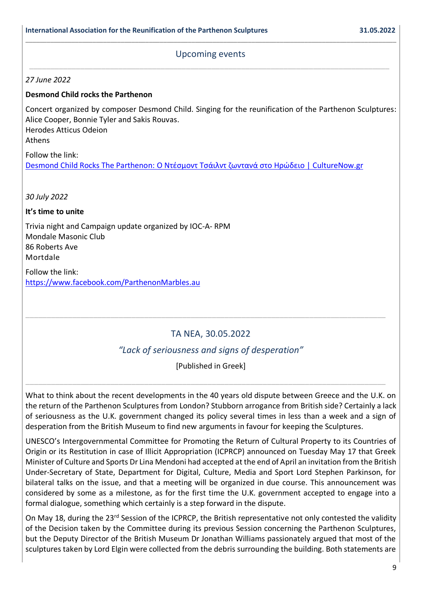# **\_\_\_\_\_\_\_\_\_\_\_\_\_\_\_\_\_\_\_\_\_\_\_\_\_\_\_\_\_\_\_\_\_\_\_\_\_\_\_\_\_\_\_\_\_\_\_\_\_\_\_\_\_\_\_\_\_\_\_\_\_\_\_\_\_\_\_\_\_\_\_\_\_\_\_\_\_\_\_\_\_\_\_\_\_\_\_\_\_\_\_\_\_\_\_\_\_\_\_\_\_\_\_\_\_** Upcoming events \_\_\_\_\_\_\_\_\_\_\_\_\_\_\_\_\_\_\_\_\_\_\_\_\_\_\_\_\_\_\_\_\_\_\_\_\_\_\_\_\_\_\_\_\_\_\_\_\_\_\_\_\_\_\_\_\_\_\_\_\_\_\_\_\_\_\_\_\_\_\_\_\_\_\_\_\_\_\_\_\_\_\_\_\_

*27 June 2022*

### **Desmond Child rocks the Parthenon**

Concert organized by composer Desmond Child. Singing for the reunification of the Parthenon Sculptures: Alice Cooper, Bonnie Tyler and Sakis Rouvas. Herodes Atticus Odeion Athens

Follow the link: [Desmond Child Rocks The Parthenon:](https://www.culturenow.gr/desmond-child-rocks-the-parthenon-o-ntesmont-tsailnt-zontana-sto-hrodeio/) Ο Ντέσμοντ Τσάιλντ ζωντανά στο Ηρώδειο | CultureNow.gr

*30 July 2022*

#### **It's time to unite**

Trivia night and Campaign update organized by IOC-A- RPM Mondale Masonic Club 86 Roberts Ave Mortdale

Follow the link: <https://www.facebook.com/ParthenonMarbles.au>

# TA NEA, 30.05.2022

\_\_\_\_\_\_\_\_\_\_\_\_\_\_\_\_\_\_\_\_\_\_\_\_\_\_\_\_\_\_\_\_\_\_\_\_\_\_\_\_\_\_\_\_\_\_\_\_\_\_\_\_\_\_\_\_\_\_\_\_\_\_\_\_\_\_\_\_\_\_\_\_\_\_\_\_\_\_\_\_\_\_\_\_\_

# *"Lack of seriousness and signs of desperation"*

[Published in Greek]

\_\_\_\_\_\_\_\_\_\_\_\_\_\_\_\_\_\_\_\_\_\_\_\_\_\_\_\_\_\_\_\_\_\_\_\_\_\_\_\_\_\_\_\_\_\_\_\_\_\_\_\_\_\_\_\_\_\_\_\_\_\_\_\_\_\_\_\_\_\_\_\_\_\_\_\_\_\_\_\_\_\_\_\_\_

What to think about the recent developments in the 40 years old dispute between Greece and the U.K. on the return of the Parthenon Sculptures from London? Stubborn arrogance from British side? Certainly a lack of seriousness as the U.K. government changed its policy several times in less than a week and a sign of desperation from the British Museum to find new arguments in favour for keeping the Sculptures.

UNESCO's Intergovernmental Committee for Promoting the Return of Cultural Property to its Countries of Origin or its Restitution in case of Illicit Appropriation (ICPRCP) announced on Tuesday May 17 that Greek Minister of Culture and Sports Dr Lina Mendoni had accepted at the end of April an invitation from the British Under-Secretary of State, Department for Digital, Culture, Media and Sport Lord Stephen Parkinson, for bilateral talks on the issue, and that a meeting will be organized in due course. This announcement was considered by some as a milestone, as for the first time the U.K. government accepted to engage into a formal dialogue, something which certainly is a step forward in the dispute.

On May 18, during the 23<sup>rd</sup> Session of the ICPRCP, the British representative not only contested the validity of the Decision taken by the Committee during its previous Session concerning the Parthenon Sculptures, but the Deputy Director of the British Museum Dr Jonathan Williams passionately argued that most of the sculptures taken by Lord Elgin were collected from the debris surrounding the building. Both statements are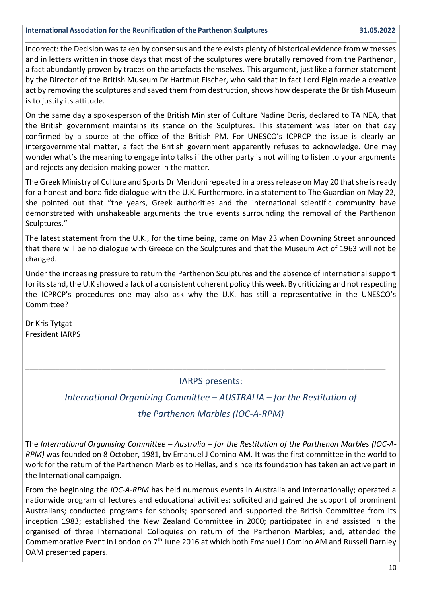#### **International Association for the Reunification of the Parthenon Sculptures 31.05.2022**

incorrect: the Decision was taken by consensus and there exists plenty of historical evidence from witnesses and in letters written in those days that most of the sculptures were brutally removed from the Parthenon, a fact abundantly proven by traces on the artefacts themselves. This argument, just like a former statement by the Director of the British Museum Dr Hartmut Fischer, who said that in fact Lord Elgin made a creative act by removing the sculptures and saved them from destruction, shows how desperate the British Museum is to justify its attitude.

**\_\_\_\_\_\_\_\_\_\_\_\_\_\_\_\_\_\_\_\_\_\_\_\_\_\_\_\_\_\_\_\_\_\_\_\_\_\_\_\_\_\_\_\_\_\_\_\_\_\_\_\_\_\_\_\_\_\_\_\_\_\_\_\_\_\_\_\_\_\_\_\_\_\_\_\_\_\_\_\_\_\_\_\_\_\_\_\_\_\_\_\_\_\_\_\_\_\_\_\_\_\_\_\_\_**

On the same day a spokesperson of the British Minister of Culture Nadine Doris, declared to TA NEA, that the British government maintains its stance on the Sculptures. This statement was later on that day confirmed by a source at the office of the British PM. For UNESCO's ICPRCP the issue is clearly an intergovernmental matter, a fact the British government apparently refuses to acknowledge. One may wonder what's the meaning to engage into talks if the other party is not willing to listen to your arguments and rejects any decision-making power in the matter.

The Greek Ministry of Culture and Sports Dr Mendoni repeated in a press release on May 20 that she is ready for a honest and bona fide dialogue with the U.K. Furthermore, in a statement to The Guardian on May 22, she pointed out that "the years, Greek authorities and the international scientific community have demonstrated with unshakeable arguments the true events surrounding the removal of the Parthenon Sculptures."

The latest statement from the U.K., for the time being, came on May 23 when Downing Street announced that there will be no dialogue with Greece on the Sculptures and that the Museum Act of 1963 will not be changed.

Under the increasing pressure to return the Parthenon Sculptures and the absence of international support for its stand, the U.K showed a lack of a consistent coherent policy this week. By criticizing and not respecting the ICPRCP's procedures one may also ask why the U.K. has still a representative in the UNESCO's Committee?

Dr Kris Tytgat President IARPS

# IARPS presents:

\_\_\_\_\_\_\_\_\_\_\_\_\_\_\_\_\_\_\_\_\_\_\_\_\_\_\_\_\_\_\_\_\_\_\_\_\_\_\_\_\_\_\_\_\_\_\_\_\_\_\_\_\_\_\_\_\_\_\_\_\_\_\_\_\_\_\_\_\_\_\_\_\_\_\_\_\_\_\_\_\_\_\_\_\_

*International Organizing Committee – AUSTRALIA – for the Restitution of* 

# *the Parthenon Marbles (IOC-A-RPM)*

\_\_\_\_\_\_\_\_\_\_\_\_\_\_\_\_\_\_\_\_\_\_\_\_\_\_\_\_\_\_\_\_\_\_\_\_\_\_\_\_\_\_\_\_\_\_\_\_\_\_\_\_\_\_\_\_\_\_\_\_\_\_\_\_\_\_\_\_\_\_\_\_\_\_\_\_\_\_\_\_\_\_\_\_\_

The *International Organising Committee – Australia – for the Restitution of the Parthenon Marbles (IOC-A-RPM)* was founded on 8 October, 1981, by Emanuel J Comino AM. It was the first committee in the world to work for the return of the Parthenon Marbles to Hellas, and since its foundation has taken an active part in the International campaign.

From the beginning the *IOC-A-RPM* has held numerous events in Australia and internationally; operated a nationwide program of lectures and educational activities; solicited and gained the support of prominent Australians; conducted programs for schools; sponsored and supported the British Committee from its inception 1983; established the New Zealand Committee in 2000; participated in and assisted in the organised of three International Colloquies on return of the Parthenon Marbles; and, attended the Commemorative Event in London on 7th June 2016 at which both Emanuel J Comino AM and Russell Darnley OAM presented papers.